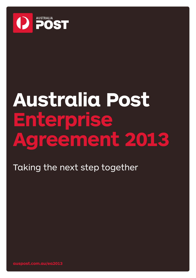

# **Australia Post Enterprise Agreement 2013**

Taking the next step together

**auspost.com.au/ea2013**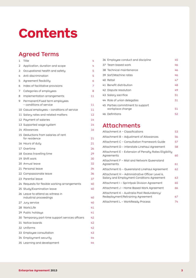## **Contents**

### Agreed Terms

| 1 | Title                                                      | 4  |
|---|------------------------------------------------------------|----|
| 2 | Application, duration and scope                            | 4  |
| 3 | Occupational health and safety                             | 5  |
| 4 | Anti-discrimination                                        | 5  |
| 5 | Agreement flexibility                                      | 6  |
| 6 | Index of facilitative provisions                           | 7  |
| 7 | Categories of employees                                    | 8  |
| 8 | Implementation arrangements                                | 11 |
| 9 | Permanent/Fixed term employees<br>- conditions of service  | 11 |
|   | 10 Casual employees - conditions of service                | 11 |
|   | 11 Salary rates and related matters                        | 12 |
|   | 12 Payment of salaries                                     | 14 |
|   | 13 Supported wage system                                   | 14 |
|   | 14 Allowances                                              | 16 |
|   | 15 Deductions from salaries of rent<br>for residence       | 21 |
|   | 16 Hours of duty                                           | 21 |
|   | 17 Overtime                                                | 26 |
|   | 18 Excess travelling time                                  | 29 |
|   | 19 Shift work                                              | 30 |
|   | 20 Annual leave                                            | 32 |
|   | 21 Personal leave                                          | 34 |
|   | 22 Compassionate leave                                     | 36 |
|   | 23 Parental leave                                          | 37 |
|   | 24 Requests for flexible working arrangements              | 40 |
|   | 25 Study/Examination leave                                 | 40 |
|   | 26 Leave to attend as witness in<br>industrial proceedings | 40 |
|   | 27 Jury service                                            | 40 |
|   | 28 Work/Life                                               | 41 |
|   | 29 Public holidays                                         | 41 |
|   | 30 Temporary part-time support services officers           | 42 |
|   | 31 Notice boards                                           | 42 |
|   | 32 Uniforms                                                | 42 |
|   | 33 Employee consultation                                   | 43 |
|   | 34 Employment security                                     | 44 |
|   | 35 Learning and development                                | 44 |

| 36 Employee conduct and discipline | 45 |
|------------------------------------|----|
| 37 Team based work                 | 46 |
| 38 Technical maintenance           | 46 |
| 39 Sort/Machine rates              | 46 |
| 40 Retail                          | 47 |
| 41 Benefit distribution            | 48 |
| 42 Dispute resolution              | 49 |
| 43 Salary sacrifice                | 51 |
| 44 Role of union delegates         | 51 |
| 45 Parties commitment to support   |    |
| workplace change                   | 51 |
| 46 Definitions                     | 52 |

### Attachments

| Attachment A - Classifications                                                               | 53 |
|----------------------------------------------------------------------------------------------|----|
| Attachment B – Adjustment of Allowances                                                      | 56 |
| Attachment C - Consultation Framework Guide                                                  | 57 |
| Attachment D – Interstate Linehaul Agreement                                                 | 58 |
| Attachment E - Extension of Penalty Rates Eligibility<br>Agreements                          | 60 |
| Attachment F – Mail and Network Queensland<br>Agreements                                     | 61 |
| Attachment G - Queensland Linehaul Agreement                                                 | 62 |
| Attachment H - Administrative Officer Level 6,<br>Salary and Employment Conditions Agreement | 63 |
| Attachment I – Sprintpak Division Agreement                                                  | 65 |
| Attachment J - Home Based Work Agreement                                                     | 66 |
| Attachment K - Australia Post Redundancy/<br>Redeployment/Retraining Agreement               | 67 |
| Attachment L - WorkReady Process                                                             | 74 |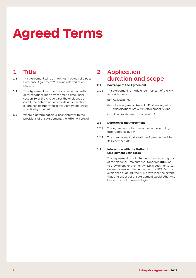## **Agreed Terms**

### 1 Title

- **1.1** This Agreement will be known as the Australia Post Enterprise Agreement 2013 and referred to as EA2013.
- **1.2** This Agreement will operate in conjunction with determinations made from time to time under section 89 of the APC Act. For the avoidance of doubt, the determinations made under section 89 are not incorporated in this Agreement unless specifically included.
- **1.3** Where a determination is inconsistent with the provisions of this Agreement, the latter will prevail.

### 2 Application, duration and scope

#### **2.1 Coverage of the Agreement**

- 2.1.1 This Agreement is made under Part 2-4 of the FW Act and covers:
	- (a) Australia Post;
	- (b) all employees of Australia Post employed in classifications set out in Attachment A; and
	- (c) Union as defined in clause 46.13.

#### **2.2 Duration of the Agreement**

- 2.2.1 The Agreement will come into effect seven days after approval by FWA.
- 2.2.2 The nominal expiry date of the Agreement will be 31 December 2016.

#### **2.3 Interaction with the National Employment Standards**

 This Agreement is not intended to exclude any part of the National Employment Standards (**NES**) or to provide any entitlement which is detrimental to an employee's entitlement under the NES. For the avoidance of doubt, the NES prevails to the extent that any aspect of this Agreement would otherwise be detrimental to an employee.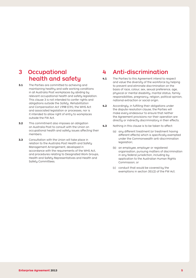### 3 Occupational health and safety

- **3.1** The Parties are committed to achieving and maintaining healthy and safe working conditions in all Australia Post workplaces by abiding by relevant occupational health and safety legislation. This clause 3 is not intended to confer rights and obligations outside the *Safety, Rehabilitation and Compensation Act 1998* (Cth), the WHS Act and associated legislation or processes, nor is it intended to allow right of entry to workplaces outside the FW Act.
- **3.2** This commitment also imposes an obligation on Australia Post to consult with the Union on occupational health and safety issues affecting their members.
- **3.3** Consultation with the Union will take place in relation to the Australia Post Health and Safety Management Arrangement, developed in accordance with the requirements of the WHS Act, and procedures relating to Designated Work Groups, Health and Safety Representatives and Health and Safety Committees.

### 4 Anti-discrimination

- **4.1** The Parties to this Agreement intend to respect and value the diversity of the workforce by helping to prevent and eliminate discrimination on the basis of race, colour, sex, sexual preference, age, physical or mental disability, marital status, family responsibilities, pregnancy, religion, political opinion, national extraction or social origin.
- **4.2** Accordingly, in fulfilling their obligations under the dispute resolution clause, the Parties will make every endeavour to ensure that neither the Agreement provisions nor their operation are directly or indirectly discriminatory in their effects.
- **4.3** Nothing in this clause is to be taken to affect:
	- (a) any different treatment (or treatment having different effects) which is specifically exempted under the Commonwealth anti-discrimination legislation;
	- (b) an employee, employer or registered organisation, pursuing matters of discrimination in any federal jurisdiction, including by application to the Australian Human Rights Commission; or
	- (c) conduct that would be covered by the exemptions in section 351(2) of the FW Act.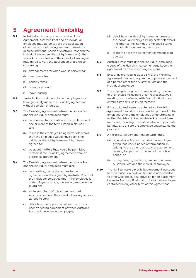### 5 Agreement flexibility

- **5.1** Notwithstanding any other provision of this Agreement, Australia Post and an individual employee may agree to vary the application of certain terms of this Agreement to meet the genuine individual needs of Australia Post and the individual employee (Flexibility Agreement). The terms Australia Post and the individual employee may agree to vary the application of are those concerning:
	- (a) arrangements for when work is performed;
	- (b) overtime rates;
	- (c) penalty rates;
	- (d) allowances; and
	- (e) leave loading.
- **5.2** Australia Post and the individual employee must have genuinely made the Flexibility Agreement without coercion or duress.
- **5.3** The Flexibility Agreement between Australia Post and the individual employee must:
	- (a) be confined to a variation in the application of one or more of the terms listed in clause 5.1; and
	- (b) result in the employee being better off overall than the employee would have been if no individual Flexibility Agreement had been agreed to;
	- (c) be about matters that would be permitted matters if the Flexibility Agreement were an enterprise agreement.
- **5.4** The Flexibility Agreement between Australia Post and the individual employee must also:
	- (a) be in writing, name the parties to the agreement and be signed by Australia Post and the individual employee and, if the employee is under 18 years of age, the employee's parent or guardian;
	- (b) state each term of this Agreement that Australia Post and the individual employee have agreed to vary;
	- (c) detail how the application of each term has been varied by agreement between Australia Post and the individual employee;
- (d) detail how the Flexibility Agreement results in the individual employee being better off overall in relation to the individual employee's terms and conditions of employment; and
- (e) state the date the agreement commences to operate.
- **5.5** Australia Post must give the individual employee a copy of the Flexibility Agreement and keep the agreement as a time and wages record.
- **5.6** Except as provided in clause 5.4(a) the Flexibility Agreement must not require the approval or consent of a person other than Australia Post and the individual employee.
- **5.7** The employee may be accompanied by a person of their choice including a union representative in meeting and conferring with Australia Post about entering into a flexibility agreement.
- **5.8** If Australia Post seeks to enter into a Flexibility Agreement it must provide a written proposal to the employee. Where the employee's understanding of written English is limited Australia Post must take measures, including translation into an appropriate language, to ensure the employee understands the proposal.
- **5.9** A Flexibility Agreement may be terminated:
	- (a) by Australia Post or the individual employee giving four weeks' notice of termination, in writing, to the other party and the agreement ceasing to operate at the end of the notice period; or
	- (b) at any time, by written agreement between Australia Post and the individual employee.
- **5.10** The right to make a Flexibility Agreement pursuant to this clause is in addition to, and is not intended to otherwise affect, any provision for an agreement between Australia Post and an individual employee contained in any other term of this Agreement.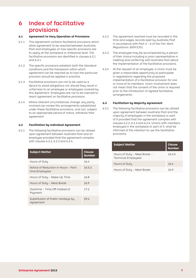### 6 Index of facilitative provisions

#### **6.1 Agreement to Vary Operation of Provisions**

- 6.1.1 This Agreement contains facilitative provisions which allow agreement to be reached between Australia Post and employees on how specific provisions are to apply at the workplace or enterprise level. The facilitative provisions are identified in clauses 6.2.1 and 6.3.1.
- 6.1.2 The specific provisions establish both the standard conditions and the framework within which agreement can be reached as to how the particular provision should be applied in practice.
- 6.1.3 Facilitative provisions are not to be used as a device to avoid obligations nor should they result in unfairness to an employee or employees covered by this Agreement. Employees are not to be coerced to reach agreement on facilitative provisions.
- 6.1.4 Where relevant circumstances change, any party involved can review the arrangements established under these facilitative provisions, and can, subject to an appropriate period of notice, withdraw their agreement.

#### **6.2 Facilitation by Individual Agreement**

6.2.1 The following facilitative provisions can be utilised upon agreement between Australia Post and an employee provided that the agreement complies with clauses 6.2.2, 6.2.3 and 6.2.4.

| <b>Subject Matter</b>                                  | Clause<br><b>Number</b> |
|--------------------------------------------------------|-------------------------|
| Hours of Duty                                          | 16.4                    |
| Notice of Reduction in Hours - Part-<br>time Employees | 16.5.3                  |
| Hours of Duty - Make Up Time                           | 16.8                    |
| Hours of Duty - Meal Break                             | 16.9                    |
| Overtime – Time Off instead of<br>Payment              | 17.2                    |
| Substitution of Public Holidays by<br>Agreement        | 29.4                    |

- 6.2.2 The agreement reached must be recorded in the time and wages records kept by Australia Post in accordance with Part 3 – 6 of the *Fair Work Regulations 2009* (Cth).
- 6.2.3 The employee may be accompanied by a person of their choice including a union representative in meeting and conferring with Australia Post about the implementation of the facilitative provisions.
- 6.2.4 At the request of an employee, a Union must be given a reasonable opportunity to participate in negotiations regarding the proposed implementation of a facilitative provision for one or more of its members. Union involvement does not mean that the consent of the Union is required prior to the introduction of agreed facilitative arrangements.

#### **6.3 Facilitation by Majority Agreement**

6.3.1 The following facilitative provisions can be utilised upon agreement between Australia Post and the majority of employees in the workplace or part of it provided that the agreement complies with clauses 6.2.2, 6.2.3 and 6.2.4. Unions with members employed in the workplace or part of it, shall be informed of the intention to use the facilitative provisions.

| <b>Subject Matter</b>                                      | <b>Clause</b><br>Number |
|------------------------------------------------------------|-------------------------|
| Hours of Duty - Meal Break -<br><b>Technical Employees</b> | 16.3.5                  |
| Hours of Duty                                              | 16.4                    |
| Hours of Duty - Meal Break                                 | 16 Q                    |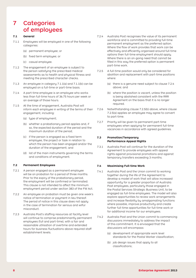### 7 Categories of employees

#### **7.1 General**

- 7.1.1 Employees will be employed in one of the following categories:
	- (a) permanent employee; or
	- (b) fixed term employee; or
	- (c) casual employee.
- 7.1.2 The engagement of an employee is subject to the person satisfying the prescribed medical assessments as to health and physical fitness and meeting the prescribed character checks.
- 7.1.3 An employee in category  $7.1.1(a)$  and  $7.1.1(b)$  can be employed on a full-time or part-time basis.
- 7.1.4 A part-time employee is an employee who works less than full-time hours of 36.75 hours per week or an average of those hours.
- 7.1.5 At the time of engagement, Australia Post will inform each employee in writing of the terms of their engagement, including:
	- (a) type of employment;
	- (b) whether a probationary period applies and, if so, the expected duration of the period and the maximum duration of the period;
	- (c) if the person is engaged as a fixed term employee, the project or task in relation to which the person has been engaged and/or the duration of the engagement; and
	- (d) list of the main instruments governing the terms and conditions of employment.

#### **7.2 Permanent Employees**

- 7.2.1 A person engaged as a permanent employee will be on probation for a period of three months. Prior to the expiry of the probationary period, the employment will be confirmed or terminated. This clause is not intended to affect the minimum employment period under section 383 of the FW Act.
- 7.2.2 An employee on probation must be given one week's notice of termination or payment in lieu thereof. The period of notice in this clause does not apply in the case of termination for serious and wilful misconduct.
- 7.2.3 Australia Post's staffing resources at facility level will continue to comprise predominantly permanent employees (full and part-time), with a fair and reasonable utilisation of overtime and extended hours for business fluctuations above required staff establishment levels.
- 7.2.4 Australia Post recognises the value of its permanent workforce and is committed to providing full-time permanent employment as the preferred option. Where the flow of work provides that work can be effectively and efficiently organised around full-time options then full-time employment should apply. Where there is an on-going need that cannot be filled in this way the preferred option is permanent part-time work.
- 7.2.5 A full-time position would only be considered for abolition and replacement with part-time positions where:
	- ( $\alpha$ ) there is a genuine need subject to clause 7.2.4 above; and
	- (b) where the position is vacant, unless the position is being abolished consistent with the RRR Agreement on the basis that it is no longer required.
- 7.2.6 Notwithstanding clause 7.2.5(b) above, where clause 7.2.5(a) applies an employee may agree to convert to part-time.
- 7.2.7 Priority will be given to permanent part-time employees when applying for permanent full-time vacancies in accordance with agreed guidelines.

#### **7.3 Promotion/Temporary Performance Appeal Rights**

7.3.1 Australia Post will continue for the duration of the Agreement to provide employees with appeal rights against provisional promotions and against temporary transfers exceeding 3 months.

#### **7.4 Maximising Full-time Work**

- 7.4.1 Australia Post and the Union commit to working together during the life of the Agreement to develop a model of work that will allow increased opportunity for a greater proportion of Australia Post employees, particularly those engaged in the Postal Services Strategic Business Unit, to be engaged as full-time employees. The model will also explore opportunities to review work arrangements and increase flexibility by amalgamating functions where possible, improve productivity and create further full-time opportunities for full-time work or for additional income for our employees.
- 7.4.2 Australia Post and the Union commit to commencing discussions immediately to address the impact of this commitment. It is envisaged that the discussions will encompass:
	- (a) development of appropriate work level standards for the Postal Worker classification;
	- (b) job design issues that apply to all classifications;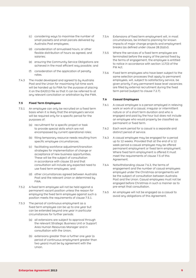- (c) considering ways to maximise the number of small packets and small parcels delivered by Australia Post employees;
- (d) consideration of annualised hours, or other flexible distribution of hours as agreed, and salaries;
- (e) ensuring the Community Service Obligations are achieved in the most efficient way possible; and
- (f) consideration of the application of penalty rates.
- 7.4.3 The model developed and agreed to by Australia Post and the Union for maximising full-time work will be handed up to FWA for the purpose of placing it on the EA2013 file so that it can be referred to at any relevant conciliation or arbitration by the FWA.

#### **7.5 Fixed Term Employees**

- 7.5.1 An employee can only be recruited on a fixed term basis when it is likely that the employee's service will be required only for a specific period for the purposes of:
	- (a) recruitment for a specific project or task to provide special skills which are not encompassed by current operational roles;
	- (b) filling temporary resource needs resulting from specific employee circumstances;
	- (c) facilitating workforce adjustment/transition strategies for implementation of change or acceptance of new business opportunities. These will be the subject of consultation in accordance with clause 33 and that consultation will include any expected need to use fixed term employees; and
	- (d) other circumstances agreed between Australia Post and the relevant Union or determined by **FWA**
- 7.5.2 A fixed term employee will not be held against  $\alpha$ permanent vacant position unless the reason for employing the fixed term employee against such a position meets the requirements of clause 7.5.1.
- 7.5.3 The period of continuous employment as a fixed term employee can be up to one year but can be extended beyond one year in particular circumstances for further periods:
	- (a) all extensions are subject to approval through the relevant Strategic Business Unit or Support Area Human Resources Manager and in consultation with the Union;
	- (b) extensions greater than a further one year ( $\alpha$ period of continuous employment greater than two years) must be by agreement with the Union.
- 7.5.4 Extensions of fixed term employment will, in most circumstances, be limited to planning for known impacts of major change projects and employment breaks (as defined under clause 28.2(a)(v)).
- 7.5.5 Where the services of a fixed term employee are terminated before the expiry of the period fixed by the terms of engagement, the employee is entitled to notice in accordance with section 117(3) of the FW Act.
- 7.5.6 Fixed term employees who have been subject to the same selection processes that apply to permanent employees, will, subject to satisfactory service, be given priority if any permanent base level vacancies are filled by external recruitment during the fixed term period (subject to clause 7.2.7).

#### **7.6 Casual Employees**

- 7.6.1 A casual employee is a person employed in relieving work or work of a casual, irregular or intermittent nature or of a short term duration and who is engaged and paid by the hour but does not include an employee who would properly be classified as permanent or fixed term.
- 7.6.2 Each work period for a casual is a separate and distinct period of service.
- 7.6.3 A casual employee may be engaged for a period up to 12 weeks. Provided that at the end of a 12 week period a casual employee may be offered permanent employment or fixed term employment. Where fixed term employment is offered it must meet the requirements of clause 7.5 of this Agreement.
- 7.6.4 Notwithstanding clause 7.6.3, the terms of engagement and the number of casual employees employed under the Christmas arrangements will be the subject of consultation between Australia Post and the Union. Casual employees must not be engaged before Christmas in such a manner as to pre-empt that consultation.
- 7.6.5 An employee will not be engaged as a casual to avoid any obligations of this Agreement.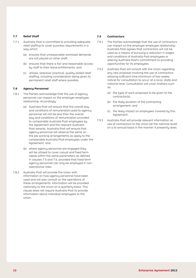#### **7.7 Relief Staff**

- 7.7.1 Australia Post is committed to providing adequate relief staffing to cover business requirements in a way which:
	- (a) ensures that unreasonable workload demands are not placed on other staff;
	- (b) ensures that there is fair and reasonable access by staff to their leave entitlements; and
	- (c) utilises, wherever practical, quality skilled relief staffing, including consideration being given to permanent relief staff where possible.

#### **7.8 Agency Personnel**

- 7.8.1 The Parties acknowledge that the use of agency personnel can impact on the employer-employee relationship. Accordingly:
	- (a) Australia Post will ensure that the overall pay and conditions of remuneration paid to agency personnel will not be less than the overall pay and conditions of remuneration provided to comparable Australia Post employees by the Agreement and the relevant Australia Post awards. Australia Post will ensure that agency personnel will observe the same on the job working arrangements as apply to the comparable Australia Post employees under the Agreement; and
	- (b) where agency personnel are engaged they will be utilised to cover casual and fixed term needs within the same parameters as defined in clauses 7.5 and 7.6, provided that fixed term agency personnel can only be employed in nonoperational roles.
- 7.8.2 Australia Post will provide the Union with information on how agency personnel have been used and will also consult on the operations of these arrangements. Information will be provided nationally to the Union on a quarterly basis. This clause does not require Australia Post to provide information about individual employees to the Union.

#### **7.9 Contractors**

- 7.9.1 The Parties acknowledge that the use of contractors can impact on the employer-employee relationship. Australia Post agrees that contractors will not be used as a means of pursuing a reduction in wages and conditions of Australia Post employees or altering Australia Post's commitment to providing opportunities for its employees.
- 7.9.2 Australia Post will consult with the Union regarding any new proposal involving the use of contractors allowing sufficient time (minimum of two weeks notice) for consultation to occur at a local, state and national level. Consultation will cover matters such  $C<sub>1</sub>$ 
	- (a) the tupe of work proposed to be given to the contractor(s);
	- (b) the likely duration of the contracting arrangement; and
	- (c) the likely impact on employees covered by this Agreement.
- 7.9.3 Australia Post will provide relevant information on use of contractors to the Union (at the national level) on a bi-annual basis in the manner it presently does.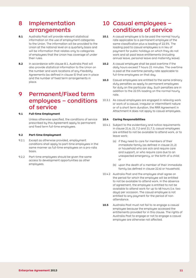### 8 Implementation arrangements

- **8.1** Australia Post will provide relevant statistical information on the use of employment categories to the Union. The information will be provided to the Union at the national level on a quarterly basis and will be information that relates only to categories of employees that the Union has coverage of under their rules.
- **8.2** In accordance with clause 8.1, Australia Post will also provide statistical information to the Union on the number and work locations of any Flexibility Agreements (as defined in clause 5) that are in place and the number of fixed term arrangements in place.

### 9 Permanent/Fixed term employees – conditions of service

#### **9.1 Full-time Employment**

 Unless otherwise specified, the conditions of service prescribed by this Agreement apply to permanent and fixed term full-time employees.

#### **9.2 Part-time Employment**

- 9.2.1 Except as otherwise provided, employment conditions shall apply to part-time employees in the same manner as full-time employees on a pro-rata basis.
- 9.2.2 Part-time employees should be given the same access to development opportunities as other employees.

### 10 Casual employees – conditions of service

- **10.1** A casual employee is to be paid the normal hourly rate applicable to a permanent employee of the same classification plus a loading of 22.5%. The loading paid to casual employees is in lieu of payment for public holidays on which they do not work and all paid leave entitlements (including annual leave, personal leave and maternity leave).
- **10.2** A casual employee shall be paid overtime if the daily hours exceed 7 hours 21 minutes. The overtime is paid at the overtime penalty rate applicable to full-time employees on that day.
- **10.3** Casual employees are entitled to the same ordinary duty penalties as apply to permanent employees for duty on the particular day. Such penalties are in addition to the 22.5% loading on the normal hourly rate.
- 10.3.1 As casual employees are engaged in relieving work or work of a casual, irregular or intermittent nature or of a short term duration, the RRR Agreement in Attachment K does not apply to casual employees.

#### **10.4 Caring Responsibilities**

- 10.4.1 Subject to the evidentiary and notice requirements in clause 21.6, 21.7.2 and 21.7.3, casual employees are entitled to not be available to attend work, or to leave work:
	- (a) if they need to care for members of their immediate family (as defined in clause 21.2) or household who are sick and require care and support, or who require care due to an unexpected emergency, or the birth of a child; or
	- (b) upon the death of a member of their immediate family (as defined in clause 22.6) or household.
- 10.4.2 Australia Post and the employee shall agree on the period for which the employee will be entitled to not be available to attend work. In the absence of agreement, the employee is entitled to not be available to attend work for up to 48 hours (i.e. two days) per occasion. The casual employee is not entitled to any payment for the period of nonattendance.
- **10.5** Australia Post must not fail to re-engage a casual employee because the employee accessed the entitlements provided for in this clause. The rights of Australia Post to engage or not to engage a casual employee are otherwise not affected.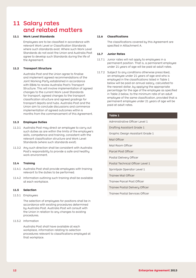### 11 Salary rates and related matters

#### **11.1 Work Level Standards**

 Employees are to be classified in accordance with relevant Work Level or Classification Standards where such standards exist. Where such Work Level Standards do not exist the Union and Australia Post agree to develop such Standards during the life of the Agreement.

#### **11.2 Transport Structure**

 Australia Post and the Union agree to finalise and implement agreed recommendations of the Joint Working Party established in accordance with EBA6 to review Australia Post's Transport Structure. This will involve implementation of agreed changes to the current Work Level Standards for transport, agreed changes to the transport classification structure and agreed gradings for transport depots and hubs. Australia Post and the Union aim to conclude discussions and commence implementation of agreed outcomes within 6 months from the commencement of this Agreement.

#### **11.3 Employee Duties**

- 11.3.1 Australia Post may direct an employee to carry out such duties as are within the limits of the employee's skills, competence and training, consistent with the relevant classification structure and Work Level Standards (where such standards exist).
- 11.3.2 Any such direction shall be consistent with Australia Post's responsibility to provide a safe and healthy work environment.

#### **11.4 Training**

- 11.4.1 Australia Post shall provide employees with training relevant to the duties to be performed.
- 11.4.2 Information outlining such training shall be available at each workplace.

#### **11.5 Selection**

11.5.1 Employees

 The selection of employees for positions shall be in accordance with existing procedures determined by Australia Post. Australia Post will consult with the Union in relation to any changes to existing procedures.

11.5.2 Information

 Australia Post shall have available at each workplace, information relating to selection procedures relevant to classifications employed at that workplace.

#### **11.6 Classifications**

 The classifications covered by this Agreement are specified in Attachment A.

#### **11.7 Junior Rates**

- 11.7.1 Junior rates will not apply to employees in a permanent position. That is, a permanent employee under 21 years of age will be paid at adult rates.
- 11.7.2 Subject to any conditions otherwise prescribed, an employee under 21 years of age and who is employed in the classifications listed in Table 1 below will be paid an annual salary, calculated to the nearest dollar, by applying the appropriate percentage for the age of the employee as specified in Table 2 below, to the minimum rate of an adult employee of the same classification, provided that a permanent employee under 21 years of age will be paid at adult rates.

| <b>Table 1</b>                   |  |  |
|----------------------------------|--|--|
| Administrative Officer Level 1   |  |  |
| Drafting Assistant Grade 1       |  |  |
| Graphic Design Assistant Grade 1 |  |  |
| Mail Officer                     |  |  |
| Mail Room Officer                |  |  |
| Parcel Post Officer              |  |  |
| Postal Delivery Officer          |  |  |
| Postal Technical Officer Level 1 |  |  |
| Sprintpak Operator Level 1       |  |  |
| Trainee Mail Officer             |  |  |
| Trainee Parcel Post Officer      |  |  |
| Trainee Postal Delivery Officer  |  |  |
| Trainee Postal Services Officer  |  |  |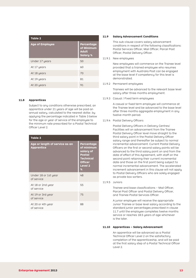| Table 2                |                                                             |  |
|------------------------|-------------------------------------------------------------|--|
| <b>Age of Employee</b> | Percentage<br>of Minimum<br><b>Adult</b><br><b>Salary %</b> |  |
| Under 17 years         | 50                                                          |  |
| At 17 years            | 60                                                          |  |
| At 18 years            | 70                                                          |  |
| At 19 years            | 81                                                          |  |
| At 20 years            | 91                                                          |  |

#### **11.8 Apprentices**

 Subject to any conditions otherwise prescribed, an apprentice under 21 years of age will be paid an annual salary, calculated to the nearest dollar, by applying the percentage indicated in Table 3 below for the age or year of service of the employee to the minimum rate prescribed for a Postal Technical Officer Level 2.

| Table 3                                             |                                                                                                              |  |
|-----------------------------------------------------|--------------------------------------------------------------------------------------------------------------|--|
| Age or length of service as an<br><b>Apprentice</b> | Percentage<br>of minimum<br>salary of<br>Postal<br><b>Technical</b><br><b>Officer</b><br><b>Level 2</b><br>% |  |
| Under 18 or 1st year<br>of service                  | 48                                                                                                           |  |
| At 18 or 2nd year<br>of service                     | 55                                                                                                           |  |
| At 19 or 3rd year<br>of service                     | 75                                                                                                           |  |
| At 20 or 4th year<br>of service                     | 88                                                                                                           |  |

#### **11.9 Salary Advancement Conditions**

 This sub-clause covers salary advancement conditions in respect of the following classifications: Postal Services Officer, Mail Officer, Parcel Post Officer, Postal Delivery Officer.

11.9.1 New employees

 New employees will commence on the Trainee level provided that a trained employee who resumes employment with Australia Post can be engaged at the base level if competency for this level is demonstrated.

11.9.2 Permanent employees

 Trainees will be advanced to the relevant base level salary after three months employment.

11.9.3 Casual / Fixed term employees

 A casual or fixed term employee will commence at the Trainee level and be advanced to the base level after three months aggregate employment in any twelve-month period.

11.9.4 Postal Delivery Officers

 Postal Delivery Officers in Delivery Centres/ Facilities will on advancement from the Trainee Postal Delivery Officer level move straight to the third salary point in the Postal Delivery Officer salary range and thereafter be subject to normal incremental advancement. Current Postal Delivery Officers on the first or second salary points will be advanced to the third salary point on and from the date of effect of this Agreement, with staff on the second point retaining their current incremental date and those on the first point being subject to normal incremental advancement. The accelerated increment advancement in this clause will not apply to Postal Delivery Officers who are solely engaged as private box sorters.

11.9.5 Juniors

 Trainee and base classifications – Mail Officer, Parcel Post Officer and Postal Delivery Officer, and Trainee Postal Services Officer.

 A junior employee will receive the appropriate Junior Trainee or base level salary according to the standard junior percentages prescribed in clause 11.7 until the employee completes twelve months service or reaches 18.5 years of age whichever is the later.

#### **11.10 Apprentices – Salary Advancement**

 An apprentice will be advanced as a Postal Technical Officer Level 2 on the satisfactory completion of the apprenticeship, and will be paid at the first salary step of a Postal Technical Officer Level 2.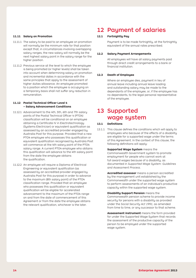#### **11.11 Salary on Promotion**

- 11.11.1 The salary to be paid to an employee on promotion will normally be the minimum rate for that position except that, in circumstances involving overlapping salary ranges, the new salary will normally be the next highest salary point in the salary range for the higher position.
- 11.11.2 Previous service at the level to which the employee is being promoted (or higher levels) shall be taken into account when determining salary on promotion and incremental dates in accordance with the same principles that apply to the assessment of higher duties allowance. An employee promoted to a position which the employee is occupying on a temporary basis shall not suffer any reduction in remuneration.

#### **11.12 Postal Technical Officer Level 4 – Salary Advancement Conditions**

- 11.12.1 Advancement to the 4th, 5th, 6th and 7th salary points of the Postal Technical Officer 4 (PTO4) classification will be conditional on an employee obtaining a Certificate IV in Electrotechnology (Systems Electrician) or equivalent qualification as assessed by an accredited provider engaged by Australia Post for this purpose. Provided that a new PTO4 employee who possesses this qualification or equivalent qualification recognised by Australia Post will commence at the 4th salary point of the PTO4 salary range. A current PTO4 employee who obtains this qualification will advance to the 4th salary point from the date the employee obtains the qualification.
- 11.12.2 An employee will require a Diploma of Electrical Engineering or equivalent qualification (as assessed by an accredited provider engaged by Australia Post for this purpose) in order to advance to the maximum (8th salary point) of the PTO4 classification range. Provided that an employee who possesses this qualification or equivalent qualification will be eligible for accelerated advancement to the maximum of the PTO4 range on and from the date of commencement of this Agreement or from the date the employee obtains the relevant qualification, whichever is the later.

### 12 Payment of salaries

#### **12.1 Fortnightly Pay**

 Payment is to be made fortnightly, at the fortnightly equivalent of the annual rates prescribed.

#### **12.2 Salary Payment Arrangements**

 All employees will have all salary payments paid through direct credit arrangements to a bank or financial institution.

#### **12.3 Death of Employee**

Where an employee dies, payment in lieu of annual leave including annual leave loading and outstanding salary may be made to the dependants of the employee, or, if the employee has no dependants, to the legal personal representative of the employee.

### 13 Supported wage system

#### **13.1 Definitions**

13.1.1 This clause defines the conditions which will apply to employees who because of the effects of a disability are eligible for a supported wage under the terms of this Agreement. In the context of this clause, the following definitions will apply:

> **Supported Wage System** means the Commonwealth Government system to promote employment for people who cannot work at full award wages because of a disability, as documented in *Supported Wage System: Guidelines and Assessment Process.*

**Accredited assessor** means a person accredited by the management unit established by the Commonwealth under the supported wage system to perform assessments of an individual's productive capacity within the supported wage system.

**Disability Support Pension** means the Commonwealth pension scheme to provide income security for persons with a disability as provided under the *Social Security Act 1991,* as amended from time to time, or any successor to that scheme.

**Assessment instrument** means the form provided for under the Supported Wage System that records the assessment of the productive capacity of the person to be employed under the supported wage system.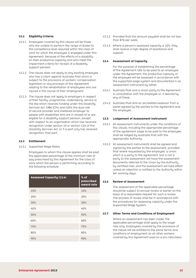#### **13.2 Eligibility Criteria**

- 13.2.1 Employees covered by this clause will be those who are unable to perform the range of duties to the competence level required within the class of work for which the employee is engaged under this Agreement, because of the effects of a disability on their productive capacity and who meet the impairment criteria for receipt of a disability support pension.
- 13.2.2 The clause does not apply to any existing employee who has a claim against Australia Post which is subject to the provisions of workers' compensation legislation or any provision of this Agreement relating to the rehabilitation of employees who are injured in the course of their employment.
- 13.2.3 The clause does not apply to employers in respect of their facility, programme, undertaking, service or the like which receives funding under the *Disability Services Act 1986* (Cth) and fulfils the dual role of service provider and sheltered employer to people with disabilities who are in receipt of or are eligible for a disability support pension, except with respect to an organisation which has received recognition under section 10 or section 12A of the *Disability Services Act,* or if a part only has received recognition, that part.

#### **13.3 Entitlement**

13.3.1 Supported Wage Rates

 Employees to whom this clause applies shall be paid the applicable percentage of the minimum rate of pay prescribed by this Agreement for the class of work which the person is performing according to the following schedule:

| <b>Assessed Capacity (13.4)</b> | % of<br>prescribed<br>award rate |
|---------------------------------|----------------------------------|
| 10%                             | 10%                              |
| 20%                             | 20%                              |
| 30%                             | 30%                              |
| 40%                             | 40%                              |
| 50%                             | 50%                              |
| 60%                             | 60%                              |
| 70%                             | 70%                              |
| 80%                             | 80%                              |
| 90%                             | 90%                              |

- 13.3.2 Provided that the amount payable shall be not less than \$76 per week.
- 13.3.3 Where a person's assessed capacity is 10%, they shall receive a high degree of assistance and support.

#### **13.4 Assessment of Capacity**

 For the purpose of establishing the percentage of the Agreement rate to be paid to an employee under the Agreement, the productive capacity of the employee will be assessed in accordance with the supported wage system and documented in an assessment instrument by either:

- 13.4.1 Australia Post and a Union party to the Agreement, in consultation with the employee or, if desired by any of these;
- 13.4.2 Australia Post and an accredited assessor from a panel agreed by the parties to the Agreement and the employee.

#### **13.5 Lodgement of Assessment Instrument**

- 13.5.1 All assessment instruments under the conditions of this clause, including the appropriate percentage of the agreement wage to be paid to the employee, shall be lodged by Australia Post with the appropriate Authority.
- 13.5.2 All assessment instruments shall be agreed and signed by the parties to the assessment, provided that where requested by the employee, a Union which is a party to the Agreement, but is not a party to the assessment will have the assessment documents referred to the Union by the Authority by certified mail, and the assessment will take effect unless an objection is notified to the Authority within ten working days.

#### **13.6 Review of Assessment**

 The assessment of the applicable percentage should be subject to annual review or earlier on the basis of a reasonable request for such a review. The process of review shall be in accordance with the procedures for assessing capacity under the Supported Wage System.

#### **13.7 Other Terms and Conditions of Employment**

 Where an assessment has been made, the applicable percentage shall apply to the wage rate only. Employees covered by the provisions of the clause will be entitled to the same terms and conditions of employment as all other workers covered by this Agreement paid on a pro rata basis.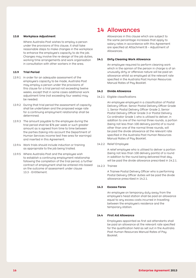#### **13.8 Workplace Adjustment**

Where Australia Post wishes to employ a person under the provisions of this clause, it shall take reasonable steps to make changes in the workplace to enhance the employee's capacity to do the job. Changes may involve the re-design of the job duties, working time arrangements and work organisation in consultation with other workers in the area.

#### **13.9 Trial Period**

- 13.9.1 In order for an adequate assessment of the employee's capacity to be made, Australia Post may employ a person under the provisions of this clause for a trial period not exceeding twelve weeks, except that in some cases additional work adjustment time (not exceeding four weeks) may be needed.
- 13.9.2 During that trial period the assessment of capacity shall be undertaken and the proposed wage rate for a continuing employment relationship shall be determined.
- 13.9.3 The amount payable to the employee during the trial period shall be \$76 per week or such greater amount as is agreed from time to time between the parties (taking into account the Department of Human Services income test free area for earnings) and inserted in this Agreement.
- 13.9.4 Work trials should include induction or training as appropriate to the job being trialled.
- 13.9.5 Where Australia Post and the employee wish to establish a continuing employment relationship following the completion of the trial period, a further contract of employment shall be entered into based on the outcome of assessment under clause 13.3 - Entitlement.

### 14 Allowances

 Allowances in this clause which are subject to the same percentage increases that apply to salary rates in accordance with this Agreement are specified at Attachment B – Adjustment of Allowances.

#### **14.1 Dirty Cleaning Work Allowance**

An employee required to perform cleaning work which in the opinion of the person in charge is of an unusually dirty or offensive nature will be paid an allowance whilst so employed at the relevant rate specified in the Australia Post Human Resources Manual Rates of Pay Booklet.

#### **14.2 Divide Allowance**

#### 14.2.1 Eligible classifications

 An employee employed in a classification of Postal Delivery Officer, Senior Postal Delivery Officer Grade 1, Senior Postal Delivery Officer Grade 2, Senior Postal Delivery Officer Grade 3 or Postal Delivery Co-ordinator Grade 1 who is utilised to deliver, in addition to one of the normal three rounds, a portion (being not less than 100 delivery points) of a round other than one of the normal three rounds, will be paid the divide allowance at the relevant rate specified in the Australia Post Human Resources Manual Rates of Pay Booklet.

14.2.2 Relief Employee

 A relief employee who is utilised to deliver a portion (being not less than 100 delivery points) of a round in addition to the round being delivered that day, will be paid the divide allowance prescribed in 14.2.1.

14.2.3 Trainee

 A Trainee Postal Delivery Officer who is performing Postal Delivery Officer duties will be paid the divide allowance prescribed in 14.2.1.

#### **14.3 Excess Fares**

An employee on temporary duty away from the employee's head station shall be paid an allowance equal to any excess costs incurred in travelling between the employee's residence and the temporary station.

#### **14.4 First Aid Allowance**

 Employees appointed as first aid attendants shall be paid an allowance at the relevant rate specified for the qualification held as set out in the Australia Post Human Resources Manual Rates of Pay Booklet.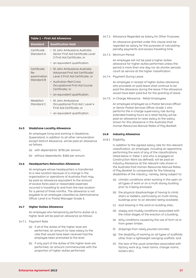| Table 1 - First Aid Allowance                   |                                                                                                                                                                                     |  |
|-------------------------------------------------|-------------------------------------------------------------------------------------------------------------------------------------------------------------------------------------|--|
| Standard                                        | <b>Qualification Held</b>                                                                                                                                                           |  |
| Certificate<br>Standard A                       | • St John Ambulance Australia<br>Senior First Aid Certificate Level<br>2 First Aid Certificate; or                                                                                  |  |
|                                                 | an equivalent qualification.                                                                                                                                                        |  |
| Certificate<br>Re-<br>examination<br>Standard B | • St John Ambulance Australia<br>Advanced First Aid Certificate/<br>Level 3 First Aid Certificate; or<br>• Australian Red Cross<br>Occupational First Aid Course<br>Certificate; or |  |
|                                                 | • an equivalent qualification.                                                                                                                                                      |  |
| Medallion<br>Standard C                         | • St John Ambulance<br>Occupational First Aid / Level 4<br>First Aid Certificate; or                                                                                                |  |
|                                                 | an equivalent qualification.                                                                                                                                                        |  |

#### **14.5 Gladstone Locality Allowance**

 An employee living and working in Gladstone, Queensland, in addition to all other remuneration except District Allowance, will be paid an allowance as follows:

- (a) with dependants: \$700 per annum;
- (b) without dependants: \$360 per annum.

#### **14.6 Headquarters Relocation Allowance**

An employee whose headquarters is transferred to a new location because of a change in the organisation or operations of Australia Post may be paid an allowance equivalent to the amount of excess fares paid or reasonable expenses incurred in travelling to and from the new location for a period of three months. The allowance is not payable to an employee classified as Administrative Officer Level 6 or Postal Manager Grade 3.

#### **14.7 Higher Duties Allowance**

An employee who temporarily performs duties at a higher level will be paid an allowance as follows:

- 14.7.1 Payment Rate
	- (a) if all of the duties of the higher level are performed, an amount to raise salary to the rate that would have been received had the employee been promoted to the level;
	- (b) if only part of the duties of the higher level are performed, an amount commensurate with the proportion of higher duties performed.

14.7.2 Allowance Regarded as Salary for Other Purposes

 An allowance granted under this clause shall be regarded as salary for the purposes of calculating penalty payments and excess travelling time.

14.7.3 Minimum Period

 An employee will not be paid a higher duties allowance for higher duties performed unless the period is more than one day nor do shorter periods count as service at the higher classification.

14.7.4 Payment During Leave

An employee in receipt of higher duties allowance who proceeds on paid leave shall continue to be paid the allowance during the leave if the allowance would have been paid but for the granting of leave.

14.7.5 In-Charge Allowance - Retail Employees

 An employee employed as a Postal Services Officer or Senior Postal Services Officer Grade 1 who performs the in-charge supervisory role during extended trading hours at a retail facility will be paid an allowance to raise salary to the salary shown for this allowance in the Australia Post Human Resources Manual Rates of Pay Booklet.

#### **14.8 Industry Allowance**

#### 14.8.1 Eligibility

 In addition to the agreed salary rate for the relevant classification, an employee, including an apprentice, performing the work of any of the classifications listed below in Table 1 and who is engaged on Construction Work (as defined), will be paid an Industry Allowance at the relevant rate shown in the Australia Post Human Resources Manual Rates of Pay Booklet to compensate for the following disabilities of the industry; namely, being subject to:

- (a) climatic conditions when working in the open on all types of work or on a multi-storey building prior to it being enclosed;
- (b) the physical disadvantage of having to climb stairs or ladders, particularly on multi-storey buildings prior to an elevator being available;
- (c) dust blowing in the wind on building sites;
- (d) sloppy and muddy conditions associated with the initial stages of the erection of a building;
- (e) dirty conditions caused by the use of form oil or from green timber;
- (f) drippings from newly poured concrete;
- (g) the disability of working on all types of scaffolds other than a lightweight swinging scaffold; and
- (h) the lack of the usual amenities associated with factory work (e.g. meal rooms, change rooms, lockers etc).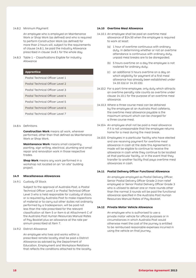#### 14.8.2 Minimum Payment

An employee who is employed on Maintenance Work or Shop Work (as defined) and who is required to perform Construction Work (as defined) for more than 2 hours will, subject to the requirements of clause 14.8.1, be paid the Industry Allowance prescribed in clause 14.8.1 for the whole day.

14.8.3 Table 1 – Classifications Eligible for Industry Allowance

#### **Apprentice**

Postal Technical Officer Level 1

Postal Technical Officer Level 2

Postal Technical Officer Level 3

Postal Technical Officer Level 4

Postal Technical Officer Level 5

- Postal Technical Officer Level 6
- Postal Technical Officer Level 7

#### 14.8.4 Definitions

**Construction Work** means all work, wherever performed, other than that defined as Maintenance Work or Shop Work.

**Maintenance Work** means small carpentry, painting, sign writing, electrical, plumbing and small repair and renovation work in those respective trades.

**Shop Work** means any work performed in a workshop not located on an "on site" building project.

#### **14.9 Miscellaneous Allowances**

14.9.1 Custody Of Stock

 Subject to the approval of Australia Post, a Postal Technical Officer Level 2 or Postal Technical Officer Level 3 who is held responsible for custody of stock, or is required by Australia Post to make inspections of material or to carry out other duties not ordinarily performed by a tradesperson, will be paid not less than the rate prescribed for the relevant classification at Item 5 or Item 6 at Attachment C of the Australia Post Human Resources Manual Rates of Pay Booklet plus an allowance at the rate per annum prescribed at Item 7.

14.9.2 District Allowance

 An employee who lives and works within a prescribed remote locality shall be paid a District Allowance as advised by the Department of Education, Employment and Workplace Relations that reflects the conditions attached to the locality.

#### **14.10 Overtime Meal Allowance**

- 14.10.1 An employee shall be paid an overtime meal allowance of \$14.50 when the employee is required to work at least:
	- (a) 1 hour of overtime continuous with ordinary duty. In determining whether or not an overtime attendance is continuous with ordinary duty, unpaid meal breaks are to be disregarded;
	- (b)  $5$  hours overtime on a day the employee is not rostered for ordinary duty;
	- (c) an additional 5 hours overtime on a day on which eligibility for payment of a first meal allowance has already been established under 14.10.1(a) or 14.10.1(b).
- 14.10.2 For a part-time employee, only duty which attracts an overtime penalty rate counts as overtime under clause 14.10.1 for the purpose of an overtime meal allowance.
- 14.10.3 Where a three course meal can be obtained by the employee at an Australia Post cafeteria, the overtime meal allowance payable is the maximum amount which can be charged for a three course meal.
- 14.10.4 An employee shall not be paid a meal allowance if it is not unreasonable that the employee returns home for a meal during the meal break.
- 14.10.5 Employees in a particular facility who have elected and are receiving payment for overtime meal allowance in cash at the date this Agreement is made will be eligible to continue to receive the allowance in cash while they continue to be located at that particular facility, or in the event that they transfer to another facility that pays overtime meal allowances in cash.

#### **14.11 Postal Delivery Officer Functional Allowance**

 An employee employed as Postal Delivery Officer, Senior Postal Delivery Officer Grade 2 (non-relief employee) or Senior Postal Delivery Officer Grade 3 who is utilised to deliver one or more rounds other than the normal 3 rounds will be paid the functional allowance specified in the Australia Post Human Resources Manual Rates of Pay Booklet.

#### **14.12 Private Motor Vehicle Allowance**

An employee who is authorised to use a private motor vehicle for official purposes or in circumstances in which Australia Post would otherwise meet the cost of the journey is entitled to be reimbursed reasonable expenses incurred in using the vehicle on that journey.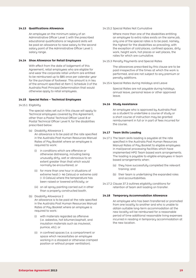#### **14.13 Qualifications Allowance**

An employee on the minimum salary of an Administrative Officer Level 1 with the prescribed educational qualifications or keyboard skills will be paid an allowance to raise salary to the second salary point of the Administrative Officer Level 1 salaru range.

#### **14.14 Shoe Allowance for Retail Employees**

 With effect from the date of lodgement of this Agreement, retail employees who are eligible for and wear the corporate retail uniform are entitled to be reimbursed up to \$85 once per calendar year for the purchase of footwear. This amount is in lieu of the amount specified at Item C Schedule 3 of the Australia Post Principal Determination that would otherwise apply to retail employees.

#### **14.15 Special Rates – Technical Employees**

14.15.1 Eligibility

The special rates set out in this clause will apply to Technical employees covered by this Agreement, other than a Postal Technical Officer Level 8 or Postal Technical Officer Level 9, for the disabilities prescribed below:

- (a) Disability Allowance 1 An allowance is to be paid at the rate specified in the Australia Post Human Resources Manual Rates of Pay Booklet where an employee is required to work:
	- (i) in conditions which are offensive or otherwise distressing, including being unusually dirty, wet or obnoxious to an extent greater than that which would normally be encountered; or
	- (ii) for more than one hour in situations of extreme heat (> 46 Celsius) or extreme cold (< 0 Celsius) where the temperature has been raised or lowered artificially; or
	- (iii) on all spray painting carried out in other than a properly constructed booth.
- (b) Disability Allowance 2 An allowance is to be paid at the rate specified in the Australia Post Human Resources Manual Rates of Pay Booklet where an employee is required to work:
	- (i) with materials regarded as offensive (i.e. asbestos, hot bitumen/asphalt, and insulation materials such as insulwool, pumice, etc); or
	- (ii) in confined spaces (i.e. a compartment or space which necessitates an employee working in a stooped or otherwise cramped position or without proper ventilation).

#### 14.15.2 Special Rates Not Cumulative

 Where more than one of the disabilities entitling an employee to extra rates exists on the same job, only one of the special rates is to be paid, namely, the highest for the disabilities so prevailing, with the exception of cold places, confined spaces, dirty work, height work, hot places or wet places, the rates for which are cumulative.

#### 14.15.3 Penalty Payments and Special Rates

 The allowances prescribed by this clause are to be paid irrespective of the times at which the work is performed, and are not subject to any premium or penalty additions.

14.15.4 Special Rates during Holidays and Leave

 Special Rates are not payable during holidays, annual leave, personal leave or other approved leave.

#### **14.16 Study Assistance**

 An employee who is approved by Australia Post as a student to undertake a course of study or a short course of instruction may be granted reimbursement in full or in part of fees incurred for the course.

#### **14.17 Team Skills Loading**

- 14.17.1 The team skills loading is payable at the rate specified in the Australia Post Human Resources Manual Rates of Pay Booklet to eligible employees in mail/parcel processing facilities which have implemented HPO Team based work arrangements. The loading is payable to eligible employees in team based arrangements when:
	- (a) they have successfully completed the relevant training; and
	- (b) their team is undertaking the expanded roles and accountabilities.
- 14.17.2 Clause 37.3 outlines eligibility conditions for retention of team skill loading on transfer.

#### **14.18 Temporary Accommodation Allowance**

 An employee who has been transferred or promoted from one locality to another and who is unable to obtain suitable long-term accommodation at the new locality will be reimbursed for a reasonable period of time additional reasonable living expenses incurred in residing in temporary accommodation at the new location.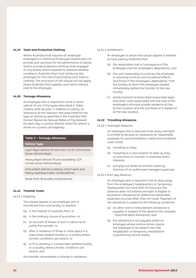#### **14.19 Tools and Protective Clothing**

Where Australia Post requires an employee employed in a Technical Employee Classification to provide and use tools for the performance of duties and/or provide protective clothing while engaged on any duties where exposed to adverse weather conditions, Australia Post must reimburse the employee for the cost of purchasing such tools or clothing. The provisions of this clause will not apply where Australia Post supplies such items without cost to the employee.

#### **14.20 Tonnage Allowance**

 An employee who is required to drive a motor vehicle of one of the types described in Table 2 below shall be paid, in addition to salary, an allowance at the relevant rate prescribed for the type of vehicle as specified in the Australia Post Human Resources Manual Rates of Pay Booklet for each day or portion thereof while the vehicle is driven on a public carriageway.

#### **Table 2 – Tonnage Allowance**

#### **Vehicle Type**

Light Rigid Vehicle (Trucks from 4.5 to 13.9 tonnes Gross Vehicle Mass)

Heavy Rigid Vehicle (Trucks exceeding 13.9 tonnes Gross Vehicle Mass)

Articulated Vehicle (Linehaul, wharf work and heavy rigid/dog trailer combinations)

Road Train (B Double combinations)

#### **14.21 Transfer Costs**

#### 14.21.1 Eligibility

This clause applies to an employee who is transferred from one locality to another:

- (a) in the interest of Australia Post; or
- (b) in the ordinary course of promotion; or
- (c) on account of illness of such a nature as to justify the transfer; or
- (d) after a residence of three or more years in a prescribed isolated locality or a locality where climatic conditions are severe; or
- (e) to fill a vacancy in a prescribed isolated locality or a locality where climatic conditions are severe; and

the transfer necessitates a change in residence.

#### 14.21.2 Entitlement

An employee to whom this clause applies is entitled to have paid by Australia Post:

- (a) the reasonable cost of conveyance of the employee and the employee's dependants; and
- (b) the cost reasonably incurred by the employee in removing furniture and household effects and those of the employee's dependants, from the locality at which the employee resided immediately before the transfer to the new locality;
- (c) reimbursement of prescribed reasonable legal and other costs associated with the sale of the employee's principal private residence at the former location and the purchase of a residence at the new location.

#### **14.22 Travelling Allowance**

#### 14.22.1 Overnight Absence

 An employee who is required to be away overnight is entitled to be paid an allowance for reasonable expenses for accommodation, meals and incidental costs whilst:

- (a) travelling on duty;
- (b) travelling to a new location to take up duty on promotion or transfer in Australia Post's interests;
- (c) carrying out duties at another place by direction of an authorised manager/supervisor.
- 14.22.2 Part-day Absence

 An employee who is required to be on duty away from the employee's headquarters or temporary headquarters for more than 10 hours but the absence does not extend overnight is eligible to be paid an allowance for additional reasonable expenses incurred other than for travel. Payment of the allowance is subject to the following conditions:

- (a) no other cost re-imbursement allowance is payable in respect of the absence (for example – Overtime Meal Allowance); and
- (b) the allowance is not payable whilst an employee whose normal duties require the employee to be absent from the headstation or temporary headstation is performing normal duties.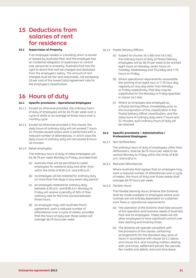### 15 Deductions from salaries of rent for residence

#### **15.1 Supervision of Property**

 If an employee resides in a building which is owned or leased by Australia Post, and the employee has an incidental obligation of supervision or control over personnel or property, Australia Post has the right to direct that rent be charged and deducted from the employee's salary. The amount of rent charged must be fair and reasonable, not exceeding 10 per cent of the lowest total Agreement rate for the employee's classification.

### 16 Hours of duty

#### **16.1 Specific provisions - Operational Employees**

- 16.1.1 Except as otherwise provided, the ordinary hours of duty of employees will be 36.75 per week over a cycle of shifts or an average of those hours over a monthly cycle.
- 16.1.2 Except as otherwise provided in this clause, the daily hours of ordinary duty will not exceed 7 hours 21 minutes except where work is performed with a reduced number of attendances, in which case the daily hours of ordinary duty will not exceed 8 hours 10 minutes.
- 16.1.3 Retail employees

The ordinary hours of duty of retail employees will be 36.75 per week Monday to Friday, provided that:

- (a) Australia Post will be permitted to roster employees for weekend duty and other than within the limits of 8.00 a.m. and 6.00 p.m.;
- (b) no employee will be rostered for ordinary duty on more than five days in any seven day period;
- (c) an employee rostered for ordinary duty between 6.30 a.m. and 8.00 a.m. Monday to Friday will receive a penalty of 50% of their ordinary rate for the time worked between those hours;
- (d) an employee may, with Australia Post's agreement, work a reduced number of attendances over a cucle of weeks, provided that the hours of duty over those weeks will average 36.75 hours per week.
- 16.1.4 Postal Delivery Officers
	- (a) Subject to clauses  $16.1.4(b)$  and  $16.1.4(c)$ , the ordinary hours of duty of Postal Delivery employees will be 36.75 per week to be worked eight hours on Monday, seven hours on Tuesday, Wednesday and Thursday and 7.75 hours on Friday.
	- (b) Where operational requirements necessitate the working of an eight hour or 7.75 hour day regularly on any day other than Monday or Friday respectively, that day may be substituted for the Monday or Friday specified in clause 16.1.4(a).
	- (c) Where an employee was employed as a Postal Sorting Officer immediately prior to the incorporation of this classification in the Postal Delivery Officer classification, and the daily hours of ordinary duty were 7 hours and 21 minutes, such ordinary hours of duty will be retained.

#### **16.2 Specific provisions – Administrative / Professional Employees**

16.2.1 Non-Shiftworkers

The ordinary hours of duty of employees, other than shiftworkers, shall be 36.75 hours per week to be worked Monday to Friday within the limits of 8.00 a.m. and 6.00 p.m.

16.2.2 Reduced Attendances

Where Australia Post agrees that an employee may work a reduced number of attendances over a cycle of weeks, the hours of duty over those weeks shall average 36.75 hours per week.

16.2.3 Flexible Hours

 The Flexible Working Hours Scheme (the Scheme) shall be made available to employees where work routines are not entirely dependent on customer/ work flows or operational requirements.

- (a) The operation of the Scheme shall take account of the operation and business needs of Australia Post and its employees. These needs will still allow employees to have significant control over their starting and finishing times.
- (b) The Scheme will operate consistent with the provisions of this clause, containing arrangements for the standard day, span of hours in accordance with clause 16.2.1 above and clause 16.4, and including matters dealing with core times, settlement period, flex periods, flex credits and debits, and core time leave.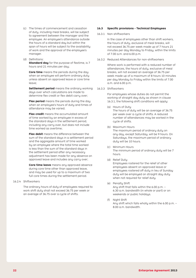- (c) The times of commencement and cessation of duty, including meal breaks, will be subject to agreement between the manager and the employee. An employee's attendance outside the hours of a standard day but within the span of hours will be subject to the availability of work and the approval of the employee's manager.
- (d) Definitions:

**Standard day** for the purpose of flextime, is 7 hours and 21 minutes per day;

**Core time** means the periods during the day when an employee will perform ordinary duty unless absent on approved leave or core time leave;

**Settlement period** means the ordinary working 16.3.3 Shiftworkers days over which calculations are made to determine flex credit or flex debit carry over;

**Flex period** means the periods during the day when an employee's hours of duty and times of attendance may be varied;

**Flex credit** means the accumulated amount of time worked by an employee in excess of the standard days in the settlement period, including any carry over, but does not include time worked as overtime;

**Flex debit** means the difference between the sum of the standard days in a settlement period and the aggregate amount of time worked by an employee where the total time worked is less than the sum of the standard days in the settlement period after any necessary adjustment has been made for any absence on approved leave and includes any carry over;

**Core time leave** means any approved absence during core time other than approved leave, and may be used for up to a maximum of two full core times during the settlement period.

#### 16.2.4 Shiftworkers

The ordinary hours of duty of employees required to work shift duty shall not exceed 36.75 per week or an average of 36.75 over a cycle of shifts.

#### **16.3 Specific provisions - Technical Employees**

#### 16.3.1 Non-shiftworkers

In the case of employees other than shift workers, the hours of duty, exclusive of meal breaks, will not exceed 36.75 per week made up of 7 hours 21 minutes per day Monday to Friday, within the limits of 7.00 a.m. and 6.00 p.m.

16.3.2 Reduced Attendances for non-shiftworkers

 Where work is performed with a reduced number of attendances, the hours of duty, exclusive of meal breaks, will not exceed an average of 36.75 per week made up of a maximum of 8 hours 10 minutes per day Monday to Friday within the limits of 7.00 a.m. and 6.00 p.m.

For employees whose duties do not permit the working of straight day duty as shown in clause 16.3.1, the following shift conditions will apply:

- (a) Hours of Duty The hours of duty will be an average of 36.75 per week over a cycle of shifts. A reduced number of attendances may be worked in the cycle of shifts.
- (b) Maximum Hours The maximum period of ordinary duty on any day, except Saturday, will be 9 hours. On Saturdays, the maximum period of ordinary duty will be 10 hours.
- (c) Minimum Hours The minimum period of ordinary duty will be 7 hours.
- (d) Relief Duty Employees rostered for the relief of other employees absent on approved leave or employees rostered off duty in lieu of Sunday duty will be employed on straight day duty when not required for relief duty.
- (e) Penalty Shift Any shift that falls within the 6.00 p.m. – 6.30 a.m. bandwidth (in whole or part) or on weekends or public holidays.
- (f) Night Shift Any shift which falls wholly within the 6.00 p.m. – 8.00 a.m. bandwidth.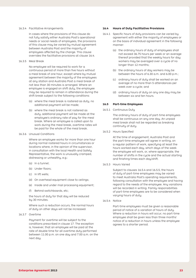#### 16.3.4 Facilitative Arrangements

 In cases where the provisions of this clause do not fully satisfy either Australia Post's operational needs or social needs of employees, the provisions of this clause may be varied by mutual agreement between Australia Post and the majority of employees affected by the change. This clause overrides the facilitative provisions at clause 16.4.

#### 16.3.5 Meal Break

 No employee will be required to work for a continuous period of more than five hours without a meal break of one hour, except where by mutual agreement between the majority of the employees at any station and Australia Post a meal break of not less than 30 minutes is arranged. Where an employee is engaged on shift duty, the employee may be required to remain in attendance during the shift break subject to the following conditions:

- (a) where the meal break is rostered as duty, no additional payment will be made;
- (b) where the meal break is not rostered as duty, additional payment will be made at the employee's ordinary rate of pay for the meal break. Where an employee is called upon to work during the meal break, overtime rates will be paid for the whole of the meal break.

#### 16.3.6 Unusual Conditions

Where an employee works for more than one hour during normal rostered hours in circumstances or locations where, in the opinion of the supervisor, in consultation with the local Health and Safety Representative, the work is unusually cramped, distressing or unhealthy, e.g.:

- (a) In a tunnel;
- (b) Under floors:
- (c) In lift wells;
- (d) On overhead equipment close to ceilings;
- (e) Inside and under mail processing equipment;
- (f) Behind switchboards, etc;

the hours of duty for that day will be reduced by 30 minutes.

Where such a reduction occurs, the normal hours of duty on other days will not be increased.

16.3.7 Overtime

 Payment for overtime will be subject to the conditions prescribed in clause 17. The exception is, however, that an employee will be paid at the rate of double time for all overtime duty performed between 11.00 p.m. on one day and 7.00 a.m. on the next day.

#### **16.4 Hours of Duty Facilitative Provisions**

- 16.4.1 Specific hours of duty provisions can be varied by agreement with either the majority of employees or on the basis of individual agreement in the following manner:
	- (a) the ordinary hours of duty of employees shall not exceed 36.75 hours per week or an average thereof provided that the weekly hours for day workers may be averaged over a cycle of no longer than 12 months;
	- (b) the ordinary hours of day workers may be between the hours of 6.30 a.m. and 6.00 p.m.;
	- (c) ordinary hours of duty shall be worked on an average of no more than 5 attendances per week over a cucle; and
	- (d) ordinary hours of duty on any one day may be between six and ten hours.

#### **16.5 Part-time Employees**

16.5.1 Continuous Duty

The ordinary hours of duty of part-time employees shall be continuous on any one day. An unpaid meal break shall not be regarded as breaking continuity of duty.

16.5.2 Hours Specified

At the time of engagement, Australia Post and the part-time employee will agree in writing, on a regular pattern of work, specifying at least the hours worked each day, which days of the week the employee will work, or, where appropriate, the number of shifts in the cycle and the actual starting and finishing times each day/shift.

16.5.3 Hours Varied

 Subject to clauses 16.5.4 and 16.5.5, the hours of duty of part-time employees may be varied to meet Australia Post's operating requirements, following consultation with the employee and having regard to the needs of the employee. Any variations will be recorded in writing. Family responsibilities of part-time employees are to be considered when varying hours of duty.

16.5.4 Notice

 Part-time employees must be given a reasonable period of notice of a variation of hours of duty. Where a reduction in hours will occur, no part-time employee shall be given less than three months' notice of a reduction in hours unless the employee agrees to a shorter period.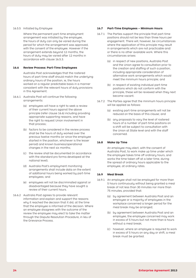#### 16.5.5 Initiated by Employee

Where the permanent part-time employment arrangement was initiated by the employee, the hours of duty can only be varied during the period for which the arrangement was approved, with the consent of the employee. However if the arrangement extends beyond 12 months, the hours of duty may be varied after 12 months in accordance with clause 16.5.3.

#### **16.6 Review Process: Part-Time Employees**

Australia Post acknowledges that the rostered hours of part-time staff should match the underlying ordinary hours of the position, ie, the hours worked on a regular predictable basis in a manner consistent with the relevant hours of duty provisions in this Agreement.

- 16.6.1 Australia Post will continue the following arrangements:
	- (a) employees will have a right to seek a review of their current hours against the above principle (refer clause 16.6) including providing appropriate supporting reasons, and have the right to request Union involvement in that process;
	- (b) factors to be considered in the review process shall be the hours of duty worked over the previous twelve months (or since the employee started in the position, whichever is the lesser period) and known business/operational changes in the next six months;
	- (c) the review shall be documented (in accordance with the standard pro forma developed at the national level);
	- (d) Australia Post's employment monitoring arrangements shall include data on the extent of additional hours being worked by part-time employees; and
	- (e) employees will not be discriminated against or disadvantaged because they have sought a review of their current hours.
- 16.6.2 Australia Post agrees to provide relevant information and explain and support the reasons why it reached the decision that it did, at the time that the employee is informed of the decision. Where an employee disagrees with the outcome of the review the employee may elect to take the matter through the Dispute Resolution Procedure, in lieu of the Grievance Process.

#### **16.7 Part-Time Employees – Minimum Hours**

- 16.7.1 The Parties support the principle that part-time positions should not be less than three hours per engagement. There will, however, be circumstances where the application of this principle may result in arrangements which are not practicable and/ or there is no other available work. Where this circumstances arises:
	- (a) in respect of new positions, Australia Post and the Union agree to consultation prior to the creation and staffing of such a position, including appropriate consideration of alternative work arrangements which would meet the minimum hours principle; and
	- (b) in respect of existing individual part-time positions which do not conform with the principle, these will be reviewed when they next become vacant.
- 16.7.2 The Parties agree that the minimum hours principle will be applied as follows:
	- (a) existing part-time arrangements will not be reduced on the basis of this clause; and
	- (b) any proposals to vary the level of rostered hours of a number of part-time positions on a shift will be subject to consultation with the Union at State level and with the staff concerned.

#### **16.8 Make Up Time**

An employee may elect, with the consent of Australia Post, to work make up time under which the employee takes time off ordinary hours, and works the time taken off at a later time, during the spread of ordinary hours applicable to the employee, at ordinary rates.

#### **16.9 Meal Break**

- 16.9.1 An employee shall not be employed for more than 5 hours continuously without being granted a meal break of not less than 30 minutes nor more than 75 minutes, provided that:
	- (a) by agreement between Australia Post and an employee or a majority of employees in the workplace concerned a longer period for the meal break may be arranged;
	- (b) by agreement between Australia Post and an employee, the employee concerned may work in excess of 5 hours but not more than 6 hours without a meal break;
	- (c) however, where an employee is required to work in excess of 5 hours on any day or shift, a meal break must be granted.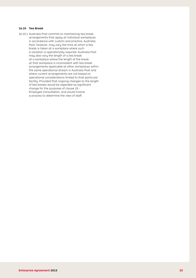#### **16.10 Tea Break**

16.10.1 Australia Post commits to maintaining tea break arrangements that apply at individual workplaces in accordance with custom and practice. Australia Post, however, may vary the time at which a tea break is taken at a workplace where such a variation is operationally required. Australia Post may also vary the length of a tea break at a workplace where the length of the break at that workplace is inconsistent with tea break arrangements applicable at other workplaces within the same operational stream in Australia Post and where current arrangements are not based on operational considerations limited to that particular facility. Provided that ongoing changes to the length of tea breaks would be regarded as significant change for the purposes of clause 33 - Employee Consultation, and would involve a process to determine the view of staff.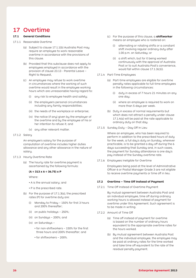### 17 Overtime

#### **17.1 General Conditions**

#### 17.1.1 Reasonable Overtime

- (a) Subject to clause 17.1.1(b) Australia Post may require an employee to work reasonable overtime in accordance with the provisions of this clause.
- (b) Provided that this subclause does not apply to employees employed in accordance with the provision of clause 23.13 - Parental Leave – Right to Request,
- (c) An employee may refuse to work overtime in circumstances where the working of such overtime would result in the employee working hours which are unreasonable having regard to:
	- (i) any risk to employee health and safety;
	- (ii) the employee's personal circumstances including any family responsibilities;
	- (iii) the needs of the workplace or enterprise;
	- (iv) the notice (if any) given by the employer of the overtime and by the employee of his or her intention to refuse it; and
	- (v) any other relevant matter.
- 17.1.2 Salary

 An employee's salary for the purpose of computation of overtime includes higher duties allowance and any other allowance in the nature of salary.

- 17.1.3 Hourly Overtime Rate
	- (a) The hourly rate for overtime payment is ascertained by the following formula:

#### **(A ÷ 313 x 6 ÷ 36.75) x P**

 Where:

- A is the annual salary; and
- P is the prescribed rate.
- (b) For the purpose of  $17.1.3(a)$ , the prescribed rates (P) for overtime duty are:
	- (i) Monday to Friday  $-150\%$  for first 3 hours and 200% thereafter;
	- (ii) on public holidays  $-$  250%;
	- (iii) on Sundays 200%; and
	- (iv) on Saturdays
		- for non-shiftworkers 150% for the first three hours and 200% thereafter; and
		- for shiftworkers 200%.
- (c) For the purpose of this clause, a **shiftworker** means an employee who is rostered on:
	- (i) alternating or rotating shifts or a constant shift involving regular ordinary duty after 1.00 p.m. on Saturday; or
	- (ii) a shift which, but for it being worked continuously with the approval of Australia Post or to suit Australia Post's convenience, would fall within clause 17.1.3(c)(i).
- 17.1.4 Part-Time Employees
	- (a) Part-time employees are eligible for overtime penalty rates applicable to full-time employees in the following circumstances:
		- (i) duty in excess of 7 hours 21 minutes on any one day;
		- (ii) where an employee is required to work on more than 5 days per week.
	- (b) Duty in excess of normal requirements but which does not attract a penalty under clause  $17.1.4(a)$  will be paid at the rate applicable to ordinary duty on that day.
- 17.1.5 Sunday Duty Day Off In Lieu

 Where an employee, who has been required to perform in addition to the prescribed hours of duty for the week, a full day's duty on Sunday, wherever practicable, is to be granted a day off during the 6 days succeeding that Sunday and, in such cases, the payment for Sunday attendance is one day's pay instead of the Sunday overtime rate.

17.1.6 Employees Ineligible for Overtime

 Employees being paid at the level of Administrative Officer 6 or Postal Manager Grade 3 are not eligible to receive overtime payments or time off in lieu.

#### **17.2 Overtime – Time Off Instead of Payment**

17.2.1 Time Off Instead of Overtime Payment

 By mutual agreement between Australia Post and an individual employee, time off during ordinary working hours is allowed instead of payment for overtime under this Agreement. Such agreement is to be made in writing.

- 17.2.2 Amount of Time Off
	- (a) Time off instead of payment for overtime is based on the number of ordinary hours equivalent to the appropriate overtime rates for the hours worked.
	- (b) By mutual agreement between Australia Post and the individual employee, the employee may be paid at ordinary rates for the time worked and take time off equivalent to the rate of the residual penalty payment.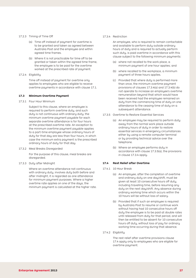#### 17.2.3 Timing of Time Off

- (a) Time off instead of payment for overtime is to be granted and taken as agreed between Australia Post and the employee and within agreed time frames.
- (b) Where it is not practicable for time off to be granted or taken within the agreed time frame, the employee is to be paid for the overtime worked at the prescribed rate of payment.
- 17.2.4 Eligibility

 Time off instead of payment for overtime only applies to employees who are eligible to receive overtime payments in accordance with clause 17.1.

#### **17.3 Minimum Overtime Payment**

17.3.1 Four Hour Minimum

 Subject to this clause, where an employee is required to perform overtime duty, and such duty is not continuous with ordinary duty, the minimum overtime payment payable for each separate overtime attendance is for four hours at the prescribed overtime rate. An exception to the minimum overtime payment payable applies to a part-time employee whose ordinary hours of duty for that day are less than four hours, in which case the minimum extra payment is the prescribed ordinary hours of duty for that day.

17.3.2 Meal Breaks Disregarded

 For the purpose of this clause, meal breaks are disregarded.

17.3.3 Duty after Midnight

 Where an overtime attendance not continuous with ordinary duty, involves duty both before and after midnight, it is regarded as one attendance for minimum payment purposes. Where a higher overtime rate applies on one of the days, the minimum payment is calculated at the higher rate.

#### 17.3.4 Restriction

 An employee, who is required to remain contactable and available to perform duty outside ordinary hours of duty and is required to actually perform such duty, is paid overtime in accordance with this clause subject to the following minimum payments:

- (a) where not recalled to the work place, a minimum payment of one hour applies; and
- (b) where recalled to the workplace, a minimum payment of three hours applies.
- (c) Provided that where duty is performed more than once, the minimum overtime payment provisions of clauses 17.3.4(a) and 17.3.4(b) do not operate to increase an employee's overtime remuneration beyond that which would have been received had the employee remained on duty from the commencing time of duty on one attendance to the ceasing time of duty on a subsequent attendance.
- 17.3.5 Overtime to Restore Essential Services
	- (a) An employee may be required to perform duty away from the normal work place outside ordinary hours of duty in order to restore essential services in emergency circumstances either by using a remote computer terminal or by providing technical advice over the telephone.
	- (b) Where an employee performs duty in  $accordance$  with clause  $17.3.5(a)$ , the provisions in clause 17.3.4 apply.

#### **17.4 Rest Relief after Overtime**

- 17.4.1 10 Hour Break
	- (a) An employee, after the completion of overtime and ordinary duty on one day/shift, must be given at least 10 consecutive hours off duty, including travelling time, before resuming any duty on the next day/shift. Any absence during ordinary working time which occurs within the 10 hours will be without loss of salary.
	- (b) Provided that if such an employee is required by Australia Post to resume or continue work without having had 10 consecutive hours off duty the employee is to be paid at double rates until released from duty for that period, and will then be entitled to be absent for 10 consecutive hours off duty, without loss of pay for ordinary working time occurring during that absence.
- 17.4.2 Eligibility

 The rest relief after overtime provisions clause 17.4 apply only to employees who are eligible for overtime payment.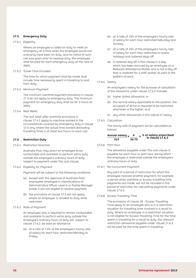#### **17.5 Emergency Duty**

#### 17.5.1 Eligibility

Where an employee is called on duty to meet an emergency at a time when the employee would not ordinarily have been on duty, and no notice of such call was given prior to ceasing duty, the employee shall be paid for such emergency duty at the rate of 200%.

17.5.2 Travel Time Included

 The time for which payment shall be made shall include time necessarily spent in travelling to and from duty.

17.5.3 Minimum Payment

 The minimum overtime payment provisions in clause 17.3 do not apply to emergency duty. The minimum payment for emergency duty shall be for 2 hours at 200%.

17.5.4 Rest Relief

 The rest relief after overtime provisions in clause 17.4.1 apply to overtime worked in the circumstances covered by emergency duty in clause 17.5 only where the actual time worked (excluding travelling time) is at least two hours on each call.

#### **17.6 Restriction Duty**

17.6.1 Restriction Direction

 Australia Post may direct an employee to be contactable and available to perform extra duty outside the employee's ordinary hours of duty, subject to payment under this sub-clause.

17.6.2 Eligibility for Payment

 Payment will be subject to the following conditions:

- (a) except with the approval of Australia Post, employees employed in classifications of Administrative Officer Level 6 or Postal Manager Grade 3 are not eligible to receive payment;
- (b) the provisions of clause 17.5 will not apply where an employee is recalled to duty while restricted.
- 17.6.3 Rate of Payment

 An employee who is required to remain contactable and available to perform extra duty outside the employee's ordinary hours of duty will, subject to clause 17.6.2, be paid an allowance:

(a) at a rate of 7.5% of the employee's hourly rate of salary for each hour restricted Monday to Friday;

- (b) at a rate of 10% of the employee's hourly rate of salary for each hour restricted Saturday and Sundau:
- (c) at a rate of 15% of the employee's hourly rate of salary for each hour restricted on public holidays and rostered days off;
- (d) a rostered day off in this clause is a day which has been accrued by an employee on a Reduced Attendance Roster and is not a day off that is rostered for a shift worker as part of the pattern of work.
- 17.6.4 Salary

 An employee's salary for the purpose of calculation of the allowance under clause 17.6.3 includes:

- (a) higher duties allowance; or
- (b) the normal salary applicable to the position, the occupant of which is required to be restricted, whichever is the higher; and
- (c) any other allowances in the nature of salary.
- 17.6.5 Calculation

 The hourly rate of payment will be calculated as follows:

$$
\frac{\text{Annual salary}}{313} \times \frac{6}{36.75} \times \frac{8 \text{ of salary prescribed}}{313}
$$

17.6.6 Part Hour

 The allowance payable under this sub-clause is payable for each hour or part hour during which the employee is restricted outside the employee's ordinary hours of duty.

17.6.7 No Concurrent Payment

Any part of a period of restriction for which the employee receives another payment, for example a period when overtime or excess travelling time payments are made, will not be included in the period of restriction for calculating payments under clause 17.6.3.

17.6.8 Excess Travelling Time

 The provisions of clause 18 - Excess Travelling Time apply to an employee who is in a restriction situation for travelling time involved in a recall to duty. Where an employee in a restriction situation is not eligible for Excess Travelling Time for the time spent in travelling for a recall to duty, the relevant restriction allowance payable under clause 17.6.3 will be paid for the time spent in travelling.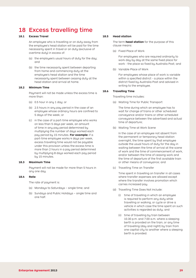### 18 Excess travelling time

#### **18.1 Excess Travel**

 An employee who is travelling or on duty away from the employee's head station will be paid for the time necessarily spent in travel or on duty (exclusive of overtime duty) in excess of:

- (a) the employee's usual hours of duty for the day; and
- (b) the time necessarily spent between departing from home and commencing duty at the employee's head station and the time necessarily spent between ceasing duty at the head station and arrival at home.

#### **18.2 Minimum Time**

Payment will not be made unless the excess time is more than:

- (a) 0.5 hour in any 1 day; or
- (b) 2.5 hours in any pay period in the case of an employee whose ordinary hours are confined to 5 days of the week; or
- (c) in the case of a part-time employee who works on less than 5 days per week, an amount of time in any pay period determined by multiplying the number of days worked each pay period by 15 minutes. **For example:** if a part-time employee works 4 days per week, excess travelling time would not be payable under this provision unless the excess time is more than 2 hours in a pay period determined by multiplying 8 days worked each pay period by 15 minutes.

#### **18.3 Maximum Time**

 Payment will not be made for more than 5 hours in any one day.

#### **18.4 Rate**

 The rate of payment is:

- (a) Mondays to Saturdays single time; and
- (b) Sundays and Public Holidays single time and one half.

#### **18.5 Head station**

The term **head station** for the purpose of this clause means:

(a) Fixed Place of Work

For employees who are required ordinarily to work day by day at the same fixed place for work - the place so fixed by Australia Post; and

(b) Variable Place of Work

 For employees whose place of work is variable within a specified district - a place within the district fixed by Australia Post and advised in writing to the employee.

#### **18.6 Travelling Time**

 Travelling time includes:

(a) Waiting Time for Public Transport

The time during which an employee has to wait for change of trains or other scheduled conveyance and/or trains or other scheduled conveyance between the advertised and actual time of departure;

(b) Waiting Time at Work Scene

 In the case of an employee not absent from the permanent or temporary head station overnight, the time spent by that employee outside the usual hours of duty for the day in waiting between the time of arrival at the scene of work and the time of commencement of work, and/or between the time of ceasing work and the time of departure of the first available train or other means of conveyance; and

(c) Travelling Time on Transfer

 Time spent in travelling on transfer in all cases where transfer expenses are allowed except where the transfer involves promotion which carries increased pay.

- (d) Travelling Time Does Not Include:
	- (i) time of travelling in which an employee is required to perform any duty while travelling or walking, or cycle or drive a vehicle in which case the time spent on such activities is regarded as duty; and
	- (ii) time of travelling by train between 10.30 p.m. and 7.00 a.m. where a sleeping berth is provided on the train, or any time of travelling (day and night) by train from one capital city to another where a sleeping berth is provided.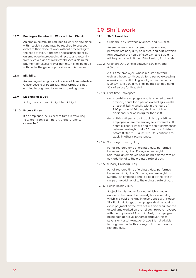#### **18.7 Employee Required to Work within a District**

 An employee may be required to work at any place within a district and may be required to proceed direct to that place of work without proceeding to the head station. If the time necessarily spent by an employee in proceeding direct to and returning from such a place of work establishes a claim for payment for excess travelling time, it shall be dealt with under the general provisions of this clause.

#### **18.8 Eligibility**

 An employee being paid at a level of Administrative Officer Level 6 or Postal Manager Grade 3 is not entitled to payment for excess travelling time.

#### **18.9 Meaning of a Day**

A day means from midnight to midnight.

#### **18.10 Excess Fares**

 If an employee incurs excess fares in travelling to and/or from a temporary station, refer to clause 14.3.

### 19 Shift work

#### **19.1 Shift Penalties**

19.1.1 Ordinary Duty Between 6.00 p.m. and 6.30 a.m.

An employee who is rostered to perform and performs ordinary duty on a shift, any part of which falls between the hours of 6.00 p.m. and 6.30 a.m., will be paid an additional 15% of salary for that shift.

19.1.2 Ordinary Duty Wholly Between 6.00 p.m. and 8.00 a.m.

> A full-time employee, who is required to work ordinary hours continuously for a period exceeding 4 weeks on a shift falling wholly within the hours of 6.00 p.m. and 8.00 a.m., shall be paid an additional 30% of salary for that shift.

- 19.1.3 Part-time Employees
	- (a) A part-time employee who is required to work ordinary hours for a period exceeding 4 weeks on a shift falling wholly within the hours of 9.00 p.m. and 6.30 a.m., shall be paid an additional 30% of salary for that shift.
	- (b)  $\land$  30% shift penalty will apply to a part-time employee where the employee's rostered shift hours exceed 4 weeks and the shift commences between midnight and 4.00 a.m., and finishes before 8.00 a.m. Clause 19.1.3(a) continues to apply in other circumstances.
- 19.1.4 Saturday Ordinary Duty

For all rostered time of ordinary duty performed between midnight on Friday and midnight on Saturday, an employee shall be paid at the rate of 50% additional to the ordinary rate of pay.

19.1.5 Sunday Ordinary Duty

For all rostered time of ordinary duty performed between midnight on Saturday and midnight on Sunday, an employee shall be paid at the rate of single time additional to the ordinary rate of pay.

19.1.6 Public Holiday Duty

 Subject to this clause, for duty which is not in excess of the prescribed weekly hours on a day which is a public holiday in accordance with clause 29 - Public Holidays, an employee shall be paid an extra payment at the rate of time and a half for the actual time worked on the holiday. However, except with the approval of Australia Post, an employee being paid at a level of Administrative Officer Level 6 or Postal Manager Grade 3 is not eligible for payment under this paragraph other than for rostered duty.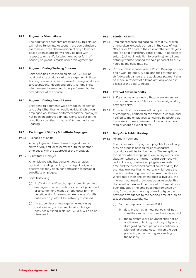#### **19.2 Payments Stand Alone**

 The additional payments prescribed by this clause will not be taken into account in the computation of overtime or in the determination of any allowance based upon salary, nor will they be paid with respect to any shift for which any other form of penalty payment is made under this Agreement.

#### **19.3 Payment During Training Courses**

 Shift penalties prescribed by clause 19.1 will be paid during attendance at a management initiated training course or other approved training in relation to Occupational Health and Safety for any shifts which an employee would have performed but for attendance at the course.

#### **19.4 Payment During Annual Leave**

 Shift penalty payments will be made in respect of any duty (other than on Public Holidays) which an employee would have performed had the employee not been on approved annual leave, subject to the conditions specified in clause 20.8 - Annual Leave Loading.

#### **19.5 Exchange of Shifts / Substitute Employee**

19.5.1 Exchange of Shifts

 An employee is allowed to exchange duties or shifts or days off, or to perform duty for another employee, with the approval of the manager.

19.5.2 Substitute Employee

An employee who has conscientious scruples against attending for duty on a day of religious observance may apply for permission to furnish a substitute employee.

- 19.5.3 Shift Trafficking
	- (a) Trafficking in shift exchanges is prohibited. Any employee who demands or accepts, by demand or arrangement, money or any other form of benefit in kind for arranging exchange of shifts, duties or days off will be instantly dismissed.
	- (b) Any supervisor or manager who knowingly condones any of the prohibited exchange activities outlined in clause 19.5.3(a) will also be dismissed.

#### **19.6 Stretch Of Shift**

- 19.6.1 Employees whose ordinary hours of duty, broken or unbroken, exceeds 10 hours in the case of Mail Officers, or 12 hours in the case of other employees, shall be paid at ordinary rates of pay, in addition to salary (but not in addition to overtime), for all time actually worked beyond the said period of 10 or 12 hours as the case may be.
- 19.6.2 Provided that in cases where Postal Delivery Officers begin work before 6.00 a.m. and their stretch of shift exceeds 11 hours, the additional payment shall be made in respect of all time actually worked in excess of the said 11 hours.

#### **19.7 Interval Between Shifts**

- 19.7.1 Shifts shall be arranged so that an employee has a minimum break of 10 hours continuously off duty between shifts.
- 19.7.2 Provided that this clause will not operate in cases of emergency certified by the officer-in-charge and notified to the employees concerned by posting up the same in some convenient place, nor in cases of regular change over of shifts.

#### **19.8 Duty On A Public Holiday**

19.8.1 Minimum Payment

 The minimum extra payment payable for ordinary duty on a public holiday for each separate attendance will be for four hours. The exceptions to this are where employees are in any restriction situation, when the minimum extra payment will be for 3 hours; or where employees are parttime and the prescribed normal hours of duty for that day are less than 4 hours, in which case the minimum extra payment is the prescribed hours. Where more than one attendance is involved, the minimum payment provisions payable under this clause will not exceed the amount that would have been payable if the employee had remained on duty from the commencing time of duty on the previous attendance to the ceasing time of duty on a subsequent attendance.

- (a) For the purposes of clause 19.8.1:
	- (i) duty broken by a meal period shall not constitute more than one attendance; and
	- (ii) the minimum extra payment shall not be applicable to holiday ordinary duty which, disregarding meal periods, is continuous with ordinary duty occurring on the day preceding or on the day succeeding the holiday.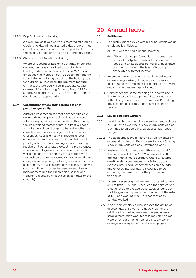#### 19.8.2 Day Off Instead of Holiday

 A seven day shift worker who is rostered off duty on a public holiday will be granted a day's leave in lieu of that holiday within one month, if practicable, after the holiday or paid one day's pay at ordinary rates.

19.8.3 Christmas and Substitute Holiday

 Where 25 December falls on a Saturday or Sunday and another day is provided as a substitute holiday under the provisions of clause 29.2.1, an employee who works on both 25 December and the substitute day will only be paid at the holiday rate for duty on 25 December. The payment for duty on the substitute day will be in accordance with clauses 19.1.4 - Saturday Ordinary Duty, 19.1.5 - Sunday Ordinary Duty or 17.1 - Overtime – General Conditions, as appropriate.

#### **19.9 Consultation where changes impact shift penalties generally**

19.9.1 Australia Post recognises that shift penalties are an important component of existing employees' take home pay. While it is understood that through the life of this Agreement Australia Post will need to make workplace changes to help strengthen its operations in the face of significant commercial challenges, Australia Post will through its best endeavours aim to ensure that it maintains shift penalty rates for those employees who currently receive shift penalty rates, except in circumstances where an employee elects to transfer to a position which did not attract penalty rates at the time of the position becoming vacant. Where any workplace changes are proposed, that may have an impact on shift penalty rates, it is agreed that consultation will occur in a timely manner between relevant senior management and the Union (this also includes transfer requests by employees on compassionate grounds).

### 20 Annual leave

#### **20.1 Entitlement**

- 20.1.1 For each year of service with his or her employer, an employee is entitled to:
	- (a) four weeks of paid annual leave; or
	- (b) if the employee performs duty in a prescribed remote locality, four weeks of paid annual leave and an additional period of annual leave commensurate with the level of hardship associated with that location.
- 20.1.2 An employee's entitlement to paid annual leave accrues progressively during a year of service according to the employee's ordinary hours of work, and accumulates from year to year.
- 20.1.3 'Service' has the same meaning as is contained in the FW Act, save that a period of approved leave without pay of up to and no more than 22 working days (continuous or aggregated) will count as service.

#### **20.2 Seven day shift workers**

- 20.2.1 In addition to the annual leave entitlement in clause 20.1, an employee who is a seven day shift worker is entitled to an additional week of annual leave per year.
- 20.2.2 The additional leave for seven day shift workers will accrue at a rate of 1/10 of a week for each Sunday a seven day shift worker is rostered to work.
- 20.2.3 Rostered Sunday overtime shifts do not count for the purposes of clause 20.2.2 where such shifts are less than 3 hours duration. Where a rostered overtime shift commences on a Saturday and extends into Sunday or commences on a Sunday and extends into Monday it is deemed to be a Sunday overtime shift for the purposes of this clause.
- 20.2.4 Where a seven day shift worker is rostered to work on less than 10 Sundays per year, the shift worker is not entitled to the additional week of leave but shall be granted a pro-rata entitlement at the rate of 1/10 of a working week in respect of each Sundau worked.
- 20.2.5 A part-time emplouee who satisfies the definition of seven day shift worker is not eligible for the additional annual leave unless the employee is usually rostered to work for at least 5 shifts each week or at least the number of shifts a week on average of an equivalent full-time employee.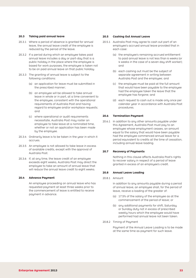#### **20.3 Taking paid annual leave**

- 20.3.1 Where a period of absence is granted for annual leave, the annual leave credit of the employee is reduced by the period of the leave.
- 20.3.2 If a period during which an employee takes paid annual leave includes a day or part-day that is a public holiday in the place where the employee is based for work purposes, the employee is taken not to be on paid annual leave on that public holiday.
- 20.3.3 The granting of annual leave is subject to the following conditions:
	- (a) an application for leave must be submitted in the prescribed manner;
	- (b) an employee will be allowed to take annual leave in whole or in part, at a time convenient to the employee, consistent with the operational requirements of Australia Post and having regard to employee and/or workplace requests; and
	- (c) where operational or audit requirements necessitate, Australia Post may roster an employee to take leave at a nominated time, whether or not an application has been made by the employee.
- 20.3.4 Ordinarily leave is to be taken in the year in which it accrues.
- 20.3.5 An employee is not allowed to take leave in excess of available credits, except with the approval of Australia Post.
- 20.3.6 If, at any time, the leave credit of an employee exceeds eight weeks, Australia Post may direct the employee to take an amount of annual leave that will reduce the annual leave credit to eight weeks.

#### **20.4 Advance Payment**

 An employee proceeding on annual leave who has requested payment at least three weeks prior to the commencement of leave is entitled to receive payment in advance.

#### **20.5 Cashing Out Annual Leave**

- 20.5.1 Australia Post may agree to cash out part of an employee's accrued annual leave provided that in each case:
	- (a) the employee's remaining accrued entitlement to paid annual leave is not less than 6 weeks (or 4 weeks in the case of a seven day shift worker); and
	- (b) each cashing out must be the subject of separate agreement in writing between Australia Post and the employee; and
	- (c) the employee must be paid at the full amount that would have been payable to the employee had the employee taken the leave that the employee has forgone; and
	- (d) each request to cash out is made only once per calendar year in accordance with Australia Post procedures.

#### **20.6 Termination Payment**

20.6.1 In addition to any other amounts payable under this Agreement, Australia Post must pay to an employee whose employment ceases, an amount equal to the salary that would have been payable had the employee commenced annual leave for a period equivalent to credits at the time of cessation, including annual leave loading.

#### **20.7 Recovery of Payments**

 Nothing in this clause affects Australia Post's rights to recover salary in respect of a period of leave granted in excess of an employee's credit.

#### **20.8 Annual Leave Loading**

20.8.1 Amount

 In addition to any amounts payable during a period of annual leave, an employee shall, for the period of leave, receive a loading of the greater of:

- (a) 17.5% of the salary of the employee as at the commencement of the period of leave; or
- (b) any additional payments for shift, Saturday or Sunday duty not in excess of prescribed weekly hours which the employee would have performed had annual leave not been taken.
- 20.8.2 Timing of Payment

 Payment of the Annual Leave Loading is to be made at the same time as payment for such leave.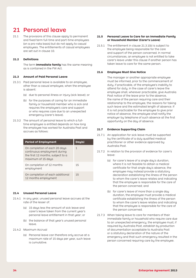### 21 Personal leave

21.1 The provisions of this clause apply to permanent and fixed term full-time and part-time employees (on a pro-rata basis) but do not apply to casual employees. The entitlements of casual employees are set out in clause 10.

#### **21.2 Definitions**

The term **immediate family** has the same meaning as is contained in the FW Act.

#### **21.3 Amount of Paid Personal Leave**

- 21.3.1 Paid personal leave is available to an employee, other than a casual employee, when the employee is absent:
	- (a) due to personal illness or injury (sick leave); or
	- (b) for the purposes of caring for an immediate family or household member who is sick and requires the employee's care and support or who requires care due to an unexpected emergency (carer's leave).
- 21.3.2 The amount of personal leave to which a fulltime employee is entitled depends on how long the employee has worked for Australia Post and accrues as follows:

| <b>Period of Employment</b>                                                                                                     | Day(s) |
|---------------------------------------------------------------------------------------------------------------------------------|--------|
| On completion of each 20 days<br>continuous employment during<br>the first 12 months, subject to $\alpha$<br>maximum of 15 days | 1      |
| On completion of 12 months<br>employment                                                                                        | 15     |
| On completion of each additional<br>12 months employment                                                                        | 1.5    |

#### **21.4 Unused Personal Leave**

- 21.4.1 In any year, unused personal leave accrues at the rate of the lesser of:
	- (a) 15 days less the amount of sick leave and carer's leave taken from the current year's personal leave entitlement in that year; or
	- (b) the balance of that year's unused personal leave.

#### 21.4.2 Maximum Accrual

(a) Personal leave can therefore only accrue at a maximum rate of 15 days per year, such leave is cumulative.

#### **21.5 Personal Leave to Care for an Immediate Family or Household Member (Carer's Leave)**

21.5.1 The entitlement in clause 21.3.1(b) is subject to the employee being responsible for the care and support of the person concerned. In normal circumstances, an employee is not entitled to take carer's leave under this clause if another person has taken leave to care for the same person.

#### **21.6 Employee Must Give Notice**

The manager or another appropriate employee must be informed, prior to the commencement of duty, if practicable, of the employee's inability to attend for duty. In the case of carer's leave the employee shall, wherever practicable, give Australia Post notice of the leave prior to the absence, the name of the person requiring care and their relationship to the employee, the reasons for taking such leave and the estimated length of absence. If it is not practicable for the employee to give prior notice of absence, the employee shall notify the employer by telephone of such absence at the first opportunity on the day of absence.

#### **21.7 Evidence Supporting Claim**

- 21.7.1 An application for sick leave must be supported by the certificate of a duly qualified medical practitioner or other evidence approved by Australia Post.
- 21.7.2 In relation to the provision of evidence for carer's leave:
	- (a) for carer's leave of a single day's duration. where it is not feasible to obtain a medical certificate for that single day's absence, the employee may instead provide a statutory declaration establishing the illness of the person to whom the carer's leave relates and indicating that the employee is responsible for the care of the person concerned; and
	- (b) for carer's leave of more than a single day duration, the employee must provide a medical certificate establishing the illness of the person to whom the carer's leave relates and indicating that the employee is responsible for the care of the person concerned.
- 21.7.3 When taking leave to care for members of their immediate family or household who require care due to an unexpected emergency, the employee must, if required by Australia Post, establish by production of documentation acceptable to Australia Post or a statutory declaration of the nature of the emergency and that such emergency resulted in the person concerned requiring care by the employee.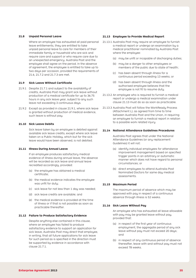#### **21.8 Unpaid Personal Leave**

 Where an employee has exhausted all paid personal leave entitlements, they are entitled to take unpaid personal leave to care for members of their immediate family or household who are sick and require care and support or who require care due to an unexpected emergency. Australia Post and the employee shall agree on the period. In the absence of agreement, the employee is entitled to take up to two days per occasion, provided the requirements of 21.6, 21.7.2 and 21.7.3 are met.

#### **21.9 Sick Leave Without Certificate**

- 21.9.1 Despite 21.7.1 and subject to the availability of credits, Australia Post may grant sick leave without production of a medical certificate for up to 36.75 hours in any sick leave year, subject to any such leave not exceeding 3 continuous days.
- 21.9.2 Except as provided in clause 21.9.1, where sick leave is granted without production of medical evidence, such leave is without pay.

#### **21.10 Sick Leave Debits**

 Sick leave taken by an employee is debited against available sick leave credits, except where sick leave taken on a Public Holiday, which but for the sick leave would have been observed, is not debited.

#### **21.11 Illness During Annual Leave**

If an employee produces satisfactory medical evidence of illness during annual leave, the absence will be recorded as sick leave and annual leave recredited accordingly, provided:

- (a) the employee has obtained a medical certificate;
- (b) the medical evidence indicates the employee was unfit for duty;
- (c) sick leave for not less than 1 day was needed;
- (d) sick leave credits are available; and
- (e) the medical evidence is provided at the time of illness or if that is not possible as soon as practicable thereafter.

#### **21.12 Failure to Produce Satisfactory Evidence**

Despite anything else contained in this clause, where an employee has failed to produce satisfactory evidence to support an application for sick leave, Australia Post may direct that employee, in writing, that all future applications for sick leave for such period as is specified in the direction must be supported by evidence in accordance with clause 21.7.1.

#### **21.13 Employee to Provide Medical Report**

- 21.13.1 Australia Post may require an employee to furnish a medical report or undergo an examination by a medical practitioner nominated by Australia Post where the employee:
	- (a) may be unfit or incapable of discharging duties;
	- (b) may be a danger to other employees or members of the public due to state of health;
	- (c) has been absent through illness for a continuous period exceeding 13 weeks; or
	- (d) has been absent through illness and the authorised employee believes that the employee is not fit to resume duty.
- 21.13.2 An employee who is required to furnish a medical report or undergo a medical examination under clause 21.13 must do so as soon as practicable.
- 21.13.3 Australia Post will follow the WorkReady Process (Attachment L), as agreed from time to time between Australia Post and the Union, in requiring an employee to furnish a medical report in relation to a possible work related injury.

#### **21.14 National Attendance Guidelines Procedures**

Australia Post agrees that under the National Attendance Guidelines (or any replacement Guidelines) it will not:

- (a) identify individual employees for attendance improvement management based on specified trigger points in an arbitrary or automatic manner which does not have regard to personal circumstances; or
- (b) direct employees to attend Australia Post Nominated Doctors for same day medical assessments.

#### **21.15 Maximum Period**

 The maximum period of absence which may be approved with pay in respect of a continuous absence through illness is 52 weeks.

#### **21.16 Sick Leave Without Pay**

 An employee who has exhausted all leave allowable with pay may be granted leave without pay, provided that:

- (a) in respect of the first year of continuous employment, the aggregate period of any sick leave without pay must not exceed 20 days; and
- (b) in respect of any continuous period of absence thereafter, leave with and without pay must not exceed 78 weeks.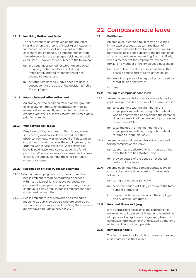#### **21.17 Invalidity Retirement Date**

The retirement of an employee on the ground of invalidity or on the ground of inability or incapacity for medical reasons shall not, except with the consent of the employee, be effected earlier than the date on which the employee's sick leave credit is exhausted. However this is subject to the following:

- (a) the continuous period for which an employee may be granted sick leave on full pay immediately prior to retirement must not exceed 52 weeks; and
- (b) a further credit of sick leave does not accrue subsequent to the date of the decision to retire the employee.

#### **21.18 Reappointment after retirement**

 An employee who has been retired on the grounds of invalidity or inability or incapacity for medical reasons, if subsequently reappointed, is to be recredited with the sick leave credits held immediately prior to retirement.

#### **21.19 War service sick leave**

Despite anything contained in this clause, where satisfactory medical evidence is produced that absence from duty was on account of illness which originated from war service, the employee may be granted war service sick leave. War service sick leave is paid leave, and counts as service for all purposes. Where war service sick leave credits have expired, the employee may apply for sick leave under this clause.

#### **21.20 Recognition of Prior Public Employment**

- 21.20.1 Continuous employment with one or more other public employers may be regarded as service with Australia Post for sick leave purposes. For permanent employees, employment is regarded as continuous if any break in public employment does not exceed two months.
- 21.20.2 Public employers in this provision has the same meaning as public employers who are covered by the prior service provisions of the *Long Service Leave (Commonwealth Employees) Act 1976.*

### 22 Compassionate leave

#### **22.1 Entitlement**

An employee is entitled to up to two days (and in the case of a death, up to three days) of paid compassionate leave for each occasion (a permissible occasion), subject to the production of satisfactory evidence required by Australia Post, when a member of the employee's immediate family, or a member of the employee's household:

- (a) contracts or develops a personal illness that poses a serious threat to his or her life; or
- (b) sustains a personal injury that poses a serious threat to his or her life; or
- (c) dies.

#### **22.2 Taking of compassionate leave**

- 22.2.1 An employee may take compassionate leave for a particular permissible occasion if the leave is taken:
	- (a) to spend time with the member of the employee's immediate family or household who has contracted or developed the personal illness, or sustained the personal injury, referred to in clause 22.1; or
	- (b) after the death of the member of the employee's immediate family or household referred to in sub-clause 22.1.
- **22.3** An employee must give Australia Post notice of taking compassionate leave:
	- (a) as soon as practicable (which may be a time after the leave has started); and
	- (b) provide details of the period or expected periods of the leave.
- **22.4** An employee may take compassionate leave for a particular permissible occasion if the leave is taken as:
	- (a) a single continuous period; or
	- (b) separate periods of 1 day each up to the total number of days; or
	- (c) any separate periods to which the employee and Australia Post agree.

#### **22.5 Personal illness or injury**

 If the permissible occasion is the contraction or development of a personal illness, or the sustaining of a personal injury, the employee may take the compassionate leave for that occasion at any time while the illness or injury persists.

#### **22.6 Immediate family**

The term immediate family has the same meaning as is contained in the FW Act.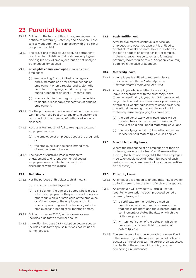# 23 Parental leave

- 23.1.1 Subject to the terms of this clause, employees are entitled to Maternity, Paternity and Adoption Leave and to work part-time in connection with the birth or adoption of a child.
- 23.1.2 The provisions of this clause apply to permanent and fixed term full-time and part-time employees and eligible casual employees, but do not apply to other casual employees.
- 23.1.3 An **eligible casual employee** means a casual employee:
	- (a) employed by Australia Post on a regular and systematic basis for several periods of employment or on a regular and systematic basis for an on-going period of employment during a period of at least 12 months; and
	- (b) who has, but for the pregnancy or the decision to adopt, a reasonable expectation of ongoing employment.
- 23.1.4 For the purposes of this clause, continuous service is work for Australia Post on a regular and systematic basis (including any period of authorised leave or absence).
- 23.1.5 Australia Post must not fail to re-engage a casual employee because:
	- (a) the employee or employee's spouse is pregnant; or
	- (b) the employee is or has been immediately absent on parental leave.
- 23.1.6 The rights of Australia Post in relation to engagement and re-engagement of casual employees are not affected, other than in accordance with this clause.

#### **23.2 Definitions**

- 23.2.1 For the purpose of this clause, child means:
	- (a) a child of the employee; or
	- (b)  $\alpha$  child under the age of 16 years who is placed with the employee for the purposes of adoption, other than a child or step-child of the employee or of the spouse of the employee or a child who has previously lived continuously with the employee for a period of six months or more.
- 23.2.2 Subject to clause 23.2.3, in this clause spouse includes a de facto or former spouse.
- 23.2.3 In relation to clause 23.7 Adoption Leave, spouse includes a de facto spouse but does not include a former spouse.

#### **23.3 Basic Entitlement**

 After twelve months continuous service, an employee who becomes a parent is entitled to a total of 52 weeks parental leave in relation to the birth or adoption of their child. For females, maternity leave may be taken and for males, paternity leave may be taken. Adoption leave may be taken in the case of adoption.

#### **23.4 Maternity leave**

- 23.4.1 An employee is entitled to maternity leave in accordance with the *Maternity Leave (Commonwealth Employees) Act 1973*.
- 23.4.2 An employee who is entitled to maternity leave in accordance with the *Maternity Leave (Commonwealth Employees) Act 1973* provision will be granted an additional two weeks' paid leave (or a total of 14 weeks' paid leave) to count as service immediately following the completion of paid maternity leave. In applying this provision:
	- (a) the additional two weeks' paid leave will be counted towards the maximum period of 52 weeks of paid and unpaid maternity leave; and
	- (b) the qualifying period of 12 months continuous service for paid maternity leave still applies.

#### **23.5 Special Maternity Leave**

Where the pregnancy of an employee not then on maternity leave terminates after 28 weeks other than by the birth of a living child, then the employee may take unpaid special maternity leave of such periods as a registered medical practitioner certifies as necessary.

#### **23.6 Paternity Leave**

- 23.6.1 An employee is entitled to unpaid paternity leave for up to 52 weeks after the birth of a child of a spouse.
- 23.6.2 An employee will provide to Australia Post at least ten weeks prior to each proposed period of paternity leave, with:
	- (a) a certificate from a registered medical practitioner which names his spouse, states that she is pregnant and the expected date of confinement, or states the date on which the birth took place; and
	- (b) written notification of the dates on which he proposes to start and finish the period of paternity leave.
- 23.6.3 The employee will not be in breach of clause 23.6.2 if the failure to give the required period of notice is because of the birth occurring earlier than expected, the death of the mother of the child, or other compelling circumstances.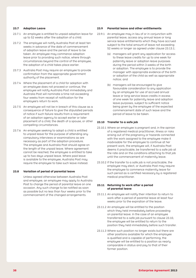#### **23.7 Adoption Leave**

- 23.7.1 An employee is entitled to unpaid adoption leave for up to 52 weeks after the adoption of a child.
- 23.7.2 The employee will notify Australia Post at least ten weeks in advance of the date of commencement of adoption leave and the period of leave to be taken. An employee may commence adoption leave prior to providing such notice, where through circumstances beyond the control of the employee, the adoption of a child takes place earlier.
- 23.7.3 Australia Post may require an employee to provide confirmation from the appropriate government authority of the placement.
- 23.7.4 Where the placement of a child for adoption with an employee does not proceed or continue, the employee will notify Australia Post immediately and Australia Post will nominate a time not exceeding four weeks from receipt of notification for the employee's return to work.
- 23.7.5 An employee will not be in breach of this clause as  $\alpha$ consequence of failure to give the stipulated periods of notice if such failure results from a requirement of an adoption agency to accept earlier or later placement of a child, the death of a spouse, or other compelling circumstances.
- 23.7.6 An employee seeking to adopt a child is entitled to unpaid leave for the purpose of attending any compulsory interviews or examinations as are necessary as part of the adoption procedure. The employee and Australia Post should agree on the length of the unpaid leave. Where agreement cannot be reached, the employee is entitled to take up to two days unpaid leave. Where paid leave is available to the employee, Australia Post may require the employee to take such leave instead.

#### **23.8 Variation of period of parental leave**

 Unless agreed otherwise between Australia Post and employee, an employee may apply to Australia Post to change the period of parental leave on one occasion. Any such change to be notified as soon as possible but no less than four weeks prior to the commencement of the changed arrangements.

#### **23.9 Parental leave and other entitlements**

- 23.9.1 An employee may in lieu of or in conjunction with parental leave, access any annual leave or long service leave entitlements which they have accrued subject to the total amount of leave not exceeding 52 weeks or longer as agreed under clause 23.13.1;
	- (a) managers will grant any application for access to these leave credits for up to one week for paternity leave or adoption leave purposes during the period within 3 weeks of the birth or adoption. The employee is to provide the manager with appropriate evidence of the birth or adoption of the child as well as appropriate notice; and
	- (b) managers will be encouraged to give favourable consideration to any application by an employee for use of accrued annual leave or long service leave credits in excess of one week for paternity leave and adoption leave purposes, subject to sufficient notice being given by the employee of the expected commencement date of such leave and the period of leave to be taken.

#### **23.10 Transfer to a safe job**

- 23.10.1 Where an employee is pregnant and, in the opinion of a registered medical practitioner, illness or risks arising out of the pregnancy or hazards connected with the work assigned to the employee make it inadvisable for the employee to continue at her present work, the employee will, if Australia Post deems it practicable, be transferred to a safe job at the rate and on the conditions attaching to that job until the commencement of maternity leave.
- 23.10.2 If the transfer to a safe job is not practicable, the employee may elect, or Australia Post may require the employee to commence maternity leave for such period as is certified necessary by a registered medical practitioner.

#### **23.11 Returning to work after a period of parental leave**

- 23.11.1 An employee will notify their intention to return to work after a period of parental leave at least four weeks prior to the expiration of the leave.
- 23.11.2 An employee will be entitled to the position which they held immediately before proceeding on parental leave. In the case of an employee transferred to a safe job pursuant to clause 23.10, the employee will be entitled to return to the position they held immediately before such transfer.
- 23.11.3 Where such position no longer exists but there are other positions available for which the employee is qualified and is capable of performing, the employee will be entitled to a position as nearly comparable in status and pay to that of their former position.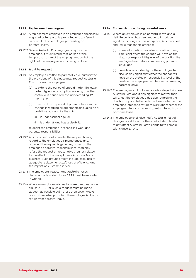#### **23.12 Replacement employees**

- 23.12.1 A replacement employee is an employee specifically engaged or temporarily promoted or transferred, as a result of an employee proceeding on parental leave.
- 23.12.2 Before Australia Post engages a replacement employee, it must inform that person of the temporary nature of the employment and of the rights of the employee who is being replaced.

#### **23.13 Right to request**

- 23.13.1 An employee entitled to parental leave pursuant to the provisions of this clause may request Australia Post to allow the employee:
	- (a) to extend the period of unpaid maternity leave, paternity leave or adoption leave by a further continuous period of leave not exceeding 12 months; or
	- (b) to return from a period of parental leave with  $\alpha$ change in working arrangements (including on a part-time basis) while the child:
		- (i) is under school age; or
		- (ii) is under 18 and has a disability

to assist the employee in reconciling work and parental responsibilities.

- 23.13.2 Australia Post shall consider the request having regard to the employee's circumstances and, provided the request is genuinely based on the employee's parental responsibilities, may only refuse the request on reasonable grounds related to the effect on the workplace or Australia Post's business. Such grounds might include cost, lack of adequate replacement staff, loss of efficiency and the impact on customer service.
- 23.13.3 The employee's request and Australia Post's decision made under clause 23.13 must be recorded in writing.
- 23.13.4 Where an employee wishes to make a request under clause 23.13.1(b), such a request must be made as soon as possible but no less than seven weeks prior to the date upon which the employee is due to return from parental leave.

#### **23.14 Communication during parental leave**

- 23.14.1 Where an employee is on parental leave and a definite decision has been made to introduce significant change at the workplace, Australia Post shall take reasonable steps to:
	- (a) make information available in relation to any significant effect the change will have on the status or responsibility level of the position the employee held before commencing parental leave; and
	- (b) provide an opportunity for the employee to discuss any significant effect the change will have on the status or responsibility level of the position the employee held before commencing parental leave.
- 23.14.2 The employee shall take reasonable steps to inform Australia Post about any significant matter that will affect the employee's decision regarding the duration of parental leave to be taken, whether the employee intends to return to work and whether the employee intends to request to return to work on a part-time basis.
- 23.14.3 The employee shall also notify Australia Post of changes of address or other contact details which might affect Australia Post's capacity to comply with clause 23.14.1.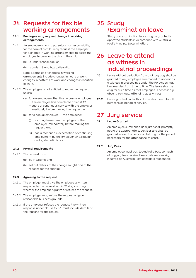# 24 Requests for flexible 25 Study working arrangements

## **24.1 Employee may request change in working arrangements**

- $24.1.1$  An employee who is a parent, or has responsibility for the care of a child, may request the employer for a change in working arrangements to assist the employee to care for the child if the child:
	- (a) is under school age; or
	- (b) is under 18 and has a disability.

Note: Examples of changes in working arrangements include changes in hours of work, changes in patterns of work and changes in location of work.

- 24.1.2 The employee is not entitled to make the request unless:
	- (a) for an employee other than a casual employee — the employee has completed at least 12 months of continuous service with the employer immediately before making the request; or
	- (b) for a casual employee  $-$  the employee:
		- (i) is a long term casual employee of the employer immediately before making the request; and
		- (ii) has a reasonable expectation of continuing employment by the employer on a regular and systematic basis.

#### **24.2 Formal requirements**

- 24.2.1 The request must:
	- (a) be in writing; and
	- (b) set out details of the change sought and of the reasons for the change.

#### **24.3 Agreeing to the request**

- 24.3.1 The employer must give the employee a written response to the request within 21 days, stating whether the employer grants or refuses the request.
- 24.3.2 The employer may refuse the request only on reasonable business grounds.
- 24.3.3 If the employer refuses the request, the written response under clause 24.3.1 must include details of the reasons for the refusal.

# /Examination leave

 Study and examination leave may be granted to approved students in accordance with Australia Post's Principal Determination.

# 26 Leave to attend as witness in industrial proceedings

- **26.1** Leave without deduction from ordinary pay shall be granted to any employee summoned to appear as a witness in proceedings under the FW Act as may be amended from time to time. The leave shall be only for such time as that employee is necessarily absent from duty attending as a witness.
- **26.2** Leave granted under this clause shall count for all purposes as period of service.

# 27 Jury service

# **27.1 Leave Granted**

An employee summoned as a juror shall promptly notify the appropriate supervisor and shall be granted leave of absence on full pay for the period necessary for the attendance at court.

#### **27.2 Jury Fees**

An employee must pay to Australia Post so much of any jury fees received less costs necessarily incurred as Australia Post considers reasonable.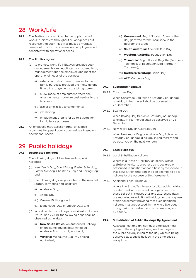# 28 Work/Life

**28.1** The Parties are committed to the application of work/life initiatives throughout all workplaces but recognise that such initiatives must be mutually beneficial to both the business and employees and consistent with operational needs.

#### **28.2 The Parties agree:**

- (a) to promote work/life initiatives provided such arrangements are negotiated and agreed to by management and the employee and meet the operational needs of the business:
	- (i) extension of short term absences for nonfamily purposes provided the make-up and time off arrangements are jointly agreed;
	- (ii) 48/52 mode of employment where the arrangements made are cost neutral to the business;
	- (iii) use of time in lieu arrangements;
	- (iv) job sharing;
	- (v) employment breaks for up to 3 years for family leave purposes.
- **28.3** An employee may access normal grievance provisions to appeal against any refusal based on operational needs.

# 29 Public holidays

## **29.1 Designated Holidays**

The following days will be observed as public holidays:

- (a) New Year's Day, Good Friday, Easter Saturday, Easter Monday, Christmas Day and Boxing Day; and
- (b) the following days, as prescribed in the relevant States, Territories and localities:
	- (i) Australia Day;
	- (ii) Anzac Day;
	- (iii) Queen's Birthday; and
	- (iv) Eight Hours' Day or Labour Day; and
- (c) in addition to the holidays prescribed in clauses  $29.1(a)$  and  $29.1(b)$ , the following days shall be observed as holidays:
	- (i) **New South Wales:** An Authorised Holiday on the same day as determined by Australia Post to apply nationally;
	- (ii) **Victoria:** Melbourne Cup Day or local equivalent;
- (iii) **Queensland:** Royal National Show or the day gazetted for the local show in the appropriate area;
- (iv) **South Australia:** Adelaide Cup Day;
- (v) **Western Australia:** Foundation Day;
- (vi) **Tasmania:** Royal Hobart Regatta (Southern Tasmania) or Recreation Day (Northern Tasmania);

#### (vii) **Northern Territory:** Picnic Day;

(viii) **ACT:** Canberra Day.

#### **29.2 Substitute Holidays**

29.2.1 Christmas Day

When Christmas Day falls on Saturday or Sunday, a holiday in lieu thereof shall be observed on 27 December.

29.2.2 Boxing Day

 When Boxing Day falls on a Saturday or Sunday, a holiday in lieu thereof shall be observed on 28 December.

29.2.3 New Year's Day or Australia Day

 When New Year's Day or Australia Day falls on a Saturday or Sunday, a holiday in lieu thereof shall be observed on the next Monday.

## **29.3 Local Holidays**

29.3.1 Local Substitution Holiday

Where in a State or Territory or locality within a State or Territory, another day is declared or prescribed in substitution for a holiday mentioned in this clause, then that day shall be deemed to be a holiday for the purpose of this Agreement.

29.3.2 Additional Local Holidays

Where in a State, Territory or locality, public holidays are declared, or prescribed on days other than those set out in clauses 29.1 and 29.2, those days are regarded as additional holidays for the purpose of this Agreement provided that such additional holidays must not exceed, in the whole two days in any period of twelve months commencing on 5 January.

### **29.4 Substitution of Public Holidays By Agreement**

 Australia Post and an individual employee may agree to the employee taking another day as the public holiday in lieu of the day which is being observed as a public holiday in the employee's workplace.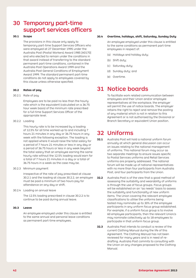# 30 Temporary part-time support services officers

#### **30.1 Scope**

 The provisions in this clause only apply to temporary part-time Support Services Officers who were employed at 27 December 1995 under the Australia Post (Postal Workers) Award 1985 [A0170] and who elected to remain under the conditions in that award instead of transferring to the standard permanent part-time conditions, contained in the Australia Post Operations Award 1999 and the Australia Post General Conditions of Employment Award 1999. The standard permanent part-time conditions do not apply to employees covered by this clause unless otherwise specified.

## **30.2 Rates of pay**

#### 30.2.1 Rate of pay

 Employees are to be paid no less than the hourly rate which is the equivalent (calculated on a 36.75 hour week basis) of the minimum rate prescribed for a full-time Support Services Officer of the appropriate level.

#### 30.2.2 Loading

 This hourly rate is to be increased by a loading of 12.5% for all time worked up to and including 7 hours 21 minutes in any day or 36.75 hours in any week with the following exception. The loading is not applied where it would raise the total salary for a period of 7 hours 21 minutes or less in any day or a period of 36.75 hours or less in any week beyond the total salary that an employee earning the same hourly rate without the 12.5% loading would earn for a total of 7 hours 21 minutes in a day or a total of 36.75 hours in a week as the case may be.

30.2.3 Minimum payment

 Irrespective of the rate of pay prescribed at clause 30.2.1 and the loading at clause 30.2.2, an employee must be paid a minimum of two hours pay for attendance on any day or shift.

30.2.4 Loading on annual leave

 The 12.5% loading prescribed in clause 30.2.2 is to continue to be paid during annual leave.

## **30.3 Leave**

An employee employed under this clause is entitled to the same annual and personal leave conditions as permanent part-time employees.

## **30.4 Overtime, holidays, shift, Saturday, Sunday Duty**

An employee employed under this clause is entitled to the same conditions as permanent part-time employees in respect of:

- (a) Holidays and holiday duty;
- (b) Shift dutu:
- (c) Saturday duty;
- (d) Sunday duty; and
- (e) Overtime.

# 31 Notice boards

 To facilitate work related communication between employees and their Union and/or employee representatives at the workplace, the employer will permit the use of notice boards. The employer retains the right to reject and remove the posting of any material which is not in relation to this Agreement or is not authorised by the Divisional or Branch Secretary or equivalent Union position.

# 32 Uniforms

- **32.1** Australia Post will hold a national uniform forum annually at which general discussion can occur on issues relating to the national management of uniforms. This national forum may occur as two separate meetings to ensure issues specific to Postal Services uniforms and Retail Services uniforms are properly addressed. The national forum will be made up of national representatives with no more than four participants from Australia Post, and four participants from the Union.
- **32.2** Australia Post is of the view that a good method of assessing the suitability and wearability of uniforms is through the use of focus groups. Focus groups will be established on an "as needs" basis to assess the suitability and functionality of new uniform items. The Union covering the relevant employee classifications to utilise the uniforms being tested may nominate up to 30% of the employee participants in any uniform focus group established. For example, if a uniform focus group is to involve 60 employee participants, then the relevant Union/s may nominate collectively up to 18 employees to participate in that uniform focus group.
- **32.3** Australia Post intends to conduct a review of the current Clothing Manual during the life of this Agreement. The Clothing Manual has not been reviewed for many years and is in need of redrafting. Australia Post commits to consulting with the Union on any changes proposed to the Clothing Manual.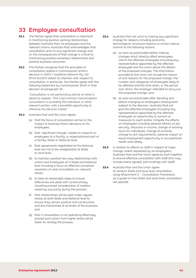# 33 Employee consultation

- **33.1** The Parties agree that consultation is important in maintaining positive working relationships between Australia Post, its employees and the relevant Unions. Australia Post acknowledges that consultation prior to any significant change and on the consequences of that change is critical to maintaining positive workplace relationships and positive business outcomes.
- **33.2** The Parties recognise that the principles of consultation stated in Commissioner Smith's decision in *CEPU v Vodafone Network Pty Ltd* (Print 911257) reflect its intention with respect to consultation. In particular, the Parties agree with the following statement by Commissioner Smith in that decision at paragraph 25:

*"Consultation is not perfunctory advice on what is about to happen. This is [a] common misconception. Consultation is providing the individual, or other relevant parties, with a bonafide opportunity to influence the decision maker."*

- **33.3** Australia Post and the Union agree:
	- (a) that the focus of consultation will be on the impact of Australia Post's decisions on its employees;
	- (b) that "significant change" relates to impacts on employees at a facility, or organisational part of a facility, State or National level;
	- (c) that agreements negotiated at the National level are not to be renegotiated at State or local level;
	- (d) to maintain positive two-way relationships with unions and employees at a State and National level including a focus on effective workplace resolution of, and consultation on, relevant issues;
	- (e) to take all reasonable steps to ensure differences are dealt with constructively, including prompt consideration of matters raised by any party during the process;
	- (f) that relationships will be kept under regular review at both State and National level to ensure they remain positive and constructive and are maintained at all levels of the business; and
	- (g) that if consultation is not operating effectively, prompt joint action from higher levels will be taken to remedy the process.
- **33.4** Australia Post will, prior to making any significant change for reasons including economic, technological, structural reasons or similar nature, commit to the following actions:
	- (a) as soon as practicable before making changes which directly affect employees, inform the affected employees (including any representative appointed by the affected employee) and the Union about the details of the proposed changes. The information provided to the Union will include the nature of and reasons for the proposed change; the number and categories of employees likely to be affected and the time when, or the period over which, the employer intended to carry out the proposed change; and
	- (b) as soon as practicable after deciding and before changing an employee's employment subject to the decision, Australia Post will give the affected employees (including any representative appointed by the affected employee) an opportunity to consult on measures to avert and/or mitigate the effects on employees including adverse effects on job security, reduction in income, change of working hours for individuals, change of worksite, change to skill requirements, adverse impact on equal employment opportunity or occupational health and safety.
- **33.5** In relation to effects on staff in respect of major change, where requested by an employee/s, Australia Post and the Union agree to work together to ensure effective consultation with staff (this may include where agreed, joint briefings with staff).
- **33.6** Australia Post and the Union agree to conduct State and local level consultation using Attachment C – Consultation Framework, as a guide on how State and local level consultation will operate.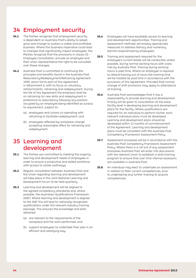# 34 Employment security

- **34.1** The Parties recognise that employment security is dependent on Australia Post's ability to adapt, grow and change to sustain a viable and profitable business. Where this business imperative could lead to changes that significantly impact employees, the Parties recognise that the provisions in clause 33 – Employee Consultation, provide an employee and their union representative the right to be consulted over these changes.
- **34.2** Australia Post is committed to continuing the principles and benefits found in the Australia Post Redundancy/Redeployment/Retraining Agreement 1995, which forms part of this Agreement in Attachment K, with its focus on voluntary retrenchments, retraining and redeployment. During the life of this Agreement the emphasis shall be on retraining for new skills and redeployment in preference to redundancy following any position occupied by an employee being identified as surplus to requirement, subject to:
	- (a) employees and Unions co-operating with retraining to facilitate redeployment; and
	- (b) employees affected by workplace change accepting reasonable offers for retraining and redeployment.

# 35 Learning and development

- **35.1** The Parties are committed to meeting the ongoing learning and development needs of employees in order to ensure a productive and skilled workforce with access to career pathways.
- **35.2** Regular consultation between Australia Post and the Union regarding learning and development will take place in the Joint National Learning and Development Forum to be held quarterly.
- **35.3** Learning and development will be aligned to the agreed competency standards and, where possible, the Australian Qualifications Framework (AQF). Where learning and development is aligned to the AQF this will lead to nationally recognised qualifications under the relevant industry training package. This ensures the knowledge and skills obtained:
	- (a) are relevant to the requirements of the workplace and the work performed; and
	- (b) support employees to undertake their jobs in an efficient and satisfying way.
- **35.4** Employees will have equitable access to learning and development opportunities. Training and assessment methods will employ appropriate measures to address literacy and numeracy barriers experienced by employees.
- **35.5** Training and assessment required for the employee's current duties will be conducted, where possible, during normal working hours with costs met by Australia Post. Training during working hours is paid time. Where an employee is required to attend training out of hours the training time will be treated as paid time in accordance with the provisions of this Agreement. Provided that normal change of shift provisions may apply to attendance at training.
- **35.6** Australia Post acknowledges that it has a responsibility to provide learning and development. Priority will be given to consultation at the area/ facility level in developing learning and development plans for the facility. Where qualifications are required for an individual to perform his/her work, relevant individual plans must be developed. Learning and development plans should be developed within 12 months of commencement of the Agreement. Learning and development plans must be consistent with the Australia Post Competency Framework Assessment Policy.
- **35.7** Assessment processes will be in accordance with the Australia Post Competency Framework Assessment Policy. Where there is a roll out of any assessment processes Australia Post will enter into discussions with the relevant Union to establish a skills training program to ensure that over time internal assessors are available in Australia Post.
- **35.8** An individual may elect to undertake an assessment in relation to their current competencies, prior to undertaking any further training to acquire competencies.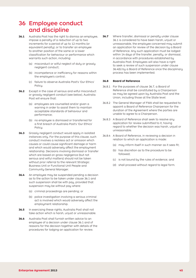# 36 Employee conduct and discipline

- **36.1** Australia Post has the right to dismiss an employee. impose a penalty of a reduction of up to two increments for a period of up to 12 months (or equivalent penalty), or to transfer an employee to another position of the same or a lower classification for behaviour or performance which warrants such action, including:
	- (a) misconduct or wilful neglect of duty or grossly negligent conduct;
	- (b) incompetence or inefficiency for reasons within the employee's control;
	- (c) failure to observe Australia Post's 'Our Ethics' Policu.
- **36.2** Except in the case of serious and wilful misconduct or grossly negligent conduct (see below), Australia Post will ensure that:
	- (a) employees are counselled and/or given a warning in order to assist them to maintain acceptable standards of behaviour and performance;
	- (b) no employee is dismissed or transferred for a first breach of Australia Post's 'Our Ethics' Policy.
- **36.3** Grossly negligent conduct would apply in isolated instances only. For the purpose of this clause, such conduct involves a reckless act or omission which causes or could cause significant damage or harm and which would adversely affect the employment relationship. Decisions involving dismissal or transfer which are based on gross negligence (but not serious and wilful matters) should not be taken without prior referral to the relevant Strategic Business Unit or Functional Unit People and Community General Manager.
- **36.4** An employee may be suspended pending a decision as to the action to be taken under clause 36.1 and such suspension shall be with pay, provided that suspension may be without pay where:
	- (a) criminal proceedings are pending; or
	- (b) police investigation involving a serious criminal act is involved which would adversely affect the employment relationship.
- **36.5** In exercising these rights, Australia Post shall not take action which is harsh, unjust or unreasonable.
- **36.6** Australia Post shall furnish written advice to an employee of a decision under clause 36.1 and of reasons for the decision together with details of the procedures for lodging an application for review.

**36.7** Where transfer, dismissal or penalty under clause 36.1 is considered to have been harsh, unjust or unreasonable, the employee concerned may submit an application for review of the decision by a Board of Reference. Any such application must be lodged within 14 days of the transfer, penalty, or dismissal, in accordance with procedures established by Australia Post. Employees will also have a right to seek a review of such suspension under clause 36.4(b) by a Board of Reference once the disciplinary process has been implemented.

#### **36.8 Board of Reference**

- 36.8.1 For the purposes of clause 36.7, a Board of Reference shall be constituted by a Chairperson as may be agreed upon by Australia Post and the Union, including those at the State level.
- 36.8.2 The General Manager of FWA shall be requested to appoint a Board of Reference Chairperson for the duration of the Agreement where the parties are unable to agree to a Chairperson.
- 36.8.3 A Board of Reference shall seek to resolve any application for review submitted to it, having regard to whether the decision was harsh, unjust or unreasonable.
- 36.8.4 A Board of Reference, in reviewing a decision in relation to which an application is made:
	- (a) may inform itself in such manner as it sees fit;
	- (b) has discretion as to the procedure to be followed;
	- (c) is not bound by the rules of evidence; and
	- (d) shall proceed without regard to legal form.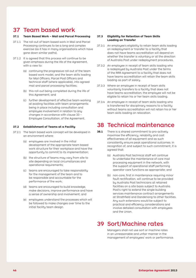# 37 Team based work

## **37.1 Team Based Work – Mail and Parcel Processing**

- 37.1.1 The roll-out of team based work in Mail and Parcel Processing continues to be a long and complex exercise (as it has in many organisations which have gone down similar paths).
- 37.1.2 It is agreed that this process will continue to be given emphasis during the life of the Agreement, with a view to:
	- (a) continuing the progressive roll-out of the team based work model, and the team skills loading for Mail Officers, Parcel Post Officers and technical staff (where applicable), into agreed mail and parcel processing facilities;
	- (b) this roll-out being completed during the life of this Agreement; and
	- (c) further development of effective team-working at existing facilities with team arrangements being in place including consultation and employee involvement in relation to any changes in accordance with clause 33 – Employee Consultation, of the Agreement.

#### **37.2 Establishment of Teams at a Facility**

- 37.2.1 The team based work concept will be developed in an environment where:
	- (a) employees are involved in the initial development of the appropriate team based work structure for their workplace and have the opportunity to commit to its implementation;
	- (b) the structure of teams may vary from site to site depending on local circumstances and operational requirements;
	- (c) teams are encouraged to take responsibility for the management of the team and to be responsible and accountable for the performance of the work;
	- (d) teams are encouraged to build knowledge, make decisions, improve performance and have a sense of ownership and involvement; and
	- (e) employees understand the processes which will be followed to make changes over time to the initial facility team design.

#### **37.3 Eligibility for Retention of Team Skills Loading on Transfer**

- 37.3.1 An employee's eligibility to retain team skills loading on redeployment or transfer to a facility that does not have teams accreditation will depend on whether the transfer is voluntary or at the direction of Australia Post under redeployment procedures.
- 37.3.2 An employee in receipt of team skills loading who is redeployed by Australia Post under the terms of the RRR Agreement to a facility that does not have teams accreditation will retain the team skills loading as part of salary.
- 37.3.3 Where an employee in receipt of team skills voluntarily transfers to a facility that does not have teams accreditation, the employee will not be eligible to retain his or her team skills loading.
- 37.3.4 An employee in receipt of team skills loading who is transferred for disciplinary reasons to a facility without teams accreditation will not retain his or her team skills loading on relocation.

# 38 Technical maintenance

- **38.1** There is a shared commitment to pro-actively maximise the efficiency, reliability and cost effectiveness of all equipment and as such consistently ensure peak operational outcomes. In recognition of, and subject to such commitment, it is agreed that:
	- (a) Australia Post technical staff will continue to undertake the maintenance of core mail processing equipment in the network, with the support of operational staff performing operator care functions as appropriate; and
	- (b) non-core, first in maintenance requiring minor fault rectification, will continue to be provided by Australia Post technicians at retained facilities on a site basis subject to Australia Post's right to extend the single building services maintenance contract arrangements at Strathfield and Dandenong to other facilities. Any such extensions would be subject to practical and efficiency considerations and involve detailed consultation with employees and the Union.

# 39 Sort/Machine rates

Managers shall not use sort or machine rates in an unreasonable and unfair manner in the management of employees' work or performance.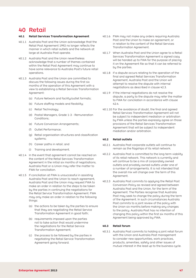# 40 Retail

#### **40.1 Retail Services Transformation Agreement**

- 40.1.1 Australia Post and the Union acknowledge that the Retail Post Agreement 1992 no longer reflects the manner in which retail outlets and the network at large at Australia Post operate.
- 40.1.2 Australia Post and the Union nevertheless acknowledge that a number of themes contained within the Retail Post Agreement may continue to have some relevance to Australia Post's future retail operations.
- 40.1.3 Australia Post and the Union are committed to discuss the following issues during the first six months of the operation of this Agreement with a view to establishing a Retail Services Transformation Agreement:
	- (a) Future Network and facility/outlet formats;
	- (b) Future staffing models and flexibility;
	- (c) Retail Technology;
	- (d) Postal Managers, Grade 1-3 Remuneration Conditions;
	- (e) Future Conversion Arrangements;
	- (f) Outlet Performance;
	- (g) Retail organisation structures and classification sustems:
	- (h) Career paths in retail; and
	- (i) Training and development.
- 40.1.4 In the event that agreement cannot be reached on the content of the Retail Services Transformation Agreement in the initial six months of negotiations, Australia Post or a Union may refer the matter to FWA for conciliation.
- 40.1.5 If conciliation at FWA is unsuccessful in assisting Australia Post and the Union to reach agreement, Australia Post and the Union may request FWA to make an order in relation to the steps to be taken by the parties in continuing the negotiations for the Retail Service Transformation Agreement. FWA may only make an order in relation to the following things:
	- (a) the actions to be taken by the parties to ensure that they are negotiating the Retail Service Transformation Agreement in good faith;
	- (b) requirements imposed upon the parties not to take action that would undermine the negotiations for the Retail Service Transformation Agreement;
	- (c) the process to be followed by the parties in negotiating the Retail Service Transformation Agreement going forward.
- 40.1.6 FWA may not make any orders requiring Australia Post and the Union to make an agreement, or in relation to the content of the Retail Services Transformation Agreement.
- 40.1.7 When Australia Post and the Union agree to a Retail Services Transformation Agreement a signed copy will be handed up to FWA for the purpose of placing it on the Agreement file so that it can be referred to by the parties.
- 40.1.8 If a dispute occurs relating to the operation of the final and agreed Retail Services Transformation Agreement, Australia Post and the Union will attempt to resolve the dispute with internal negotiations as described in clause 42.3.
- 40.1.9 If the internal negotiations do not resolve the dispute, a party to the dispute may refer the matter to FWA for conciliation in accordance with clause 42.4.
- 40.1.10 For the avoidance of doubt, the final and agreed Retail Services Transformation Agreement will not be subject to independent mediation or arbitration by FWA unless the parties expressly agree on those provisions of the Retail Services Transformation Agreement that will be subject to independent mediation and/or arbitration.

### **40.2 Retail outlets**

- 40.2.1 Australia Post corporate outlets will continue to remain as the flagships of its retail network.
- 40.2.2 Australia Post is committed to the long term viability of its retail network. This network is currently and will continue to be a mix of corporately owned outlets and privately owned outlets under one of a number of arrangements. It is not intended that the overall mix will change over the term of this Agreement.
- 40.2.3 Australia Post commits to applying the Retail Post Conversion Policy as revised and agreed between Australia Post and the Union, for the term of the Agreement. The Parties recognise that Australia Post may seek to change the policy during the term of the Agreement. In such circumstances Australia Post commits to a joint review of the policy with the Union six months before making any changes to the policy. Australia Post has no intention of changing this policy within the first six months of this Agreement being approved by FWA.

#### **40.3 Retail forum**

40.3.1 Australia Post commits to holding a joint retail forum with the Union and Australia Post management to consider new opportunities, work practices, products, amenities, safety and other issues of mutual interest in the lead up to the business cycle.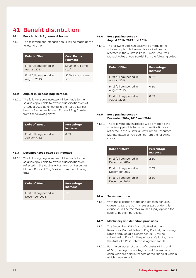# 41 Benefit distribution

## **41.1 Back to back Agreement bonus**

41.1.1 The following one-off cash bonus will be made at the following time:

| Date of Effect           | <b>Cash Bonus</b><br>Payment |
|--------------------------|------------------------------|
| First full pay period in | \$500 for full-time          |
| August 2013              | staff                        |
| First full pay period in | \$250 for part-time          |
| August 2013              | staff                        |

## **41.2 August 2013 base pay increase**

41.2.1 The following pay increase will be made to the salaries applicable to award classifications as at 1 August 2013 as reflected in the Australia Post Human Resources Manual Rates of Pay Booklet from the following date:

| Date of Effect                          | Percentage<br><b>Increase</b> |
|-----------------------------------------|-------------------------------|
| First full pay period in<br>August 2013 | 0.5%                          |

## **41.3 December 2013 base pay increase**

41.3.1 The following pay increase will be made to the salaries applicable to award classifications as reflected in the Australia Post Human Resources Manual Rates of Pay Booklet from the following date:

| <b>Date of Effect</b>                     | Percentage<br><b>Increase</b> |
|-------------------------------------------|-------------------------------|
| First full pay period in<br>December 2013 | $1\%$                         |

#### **41.4 Base pay increases – August 2014, 2015 and 2016**

41.4.1 The following pay increases will be made to the salaries applicable to award classifications as reflected in the Australia Post Human Resources Manual Rates of Pay Booklet from the following dates:

| Date of Effect                          | Percentage<br><b>Increase</b> |
|-----------------------------------------|-------------------------------|
| First full pay period in<br>August 2014 | 0.5%                          |
| First full pay period in<br>August 2015 | 0.5%                          |
| First full pay period in<br>August 2016 | 0.5%                          |

# **41.5 Base pay increases – December 2014, 2015 and 2016**

41.5.1 The following pay increases will be made to the salaries applicable to award classifications as reflected in the Australia Post Human Resources Manual Rates of Pay Booklet from the following dates:

| Date of Effect                            | Percentage<br><b>Increase</b> |
|-------------------------------------------|-------------------------------|
| First full pay period in<br>December 2014 | 2.5%                          |
| First full pay period in<br>December 2015 | 2.5%                          |
| First full pay period in<br>December 2016 | 2.5%                          |

## **41.6 Superannuation**

41.6.1 With the exception of the one-off cash bonus in clause 41.1.1, the pay increases paid under this clause 41 will be the maximum full pay applied for superannuation purposes.

#### **41.7 Machinery and definition provisions**

- 41.7.1 The December 2012 Australia Post Human Resources Manual Rates of Pay Booklet, containing rates of pay as at 6 December 2012, will be submitted to FWA for the purpose of placing it on the Australia Post Enterprise Agreement file.
- 41.7.2 For the purposes of clarity of clauses 41.4.1 and 41.5.1, the pay rises in August and December of each year are paid in respect of the financial year in which they are paid.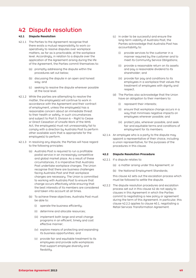# 42 Dispute resolution

## **42.1 Dispute Resolution**

- 42.1.1 The Parties to the Agreement recognise that there exists a mutual responsibility to work cooperatively to resolve disputes over workplace matters, as far as is practicable, at the workplace level. Accordingly, in relation to a dispute over the application of the Agreement arising during the life of the Agreement, the Parties commit themselves to:
	- (a) promptly addressing the dispute within the procedures set out below;
	- (b) discussing the dispute in an open and honest way; and
	- (c) seeking to resolve the dispute wherever possible at the local level.
- 42.1.2 While the parties are attempting to resolve the matter, the employee(s) will continue to work in accordance with the Agreement and their contract of employment, unless the employee(s) has a reasonable concern about an immediate threat to their health or safety. In such circumstances and subject to Part 5. Division 6 – Right to Cease or Direct Cessation of Unsafe Work of the WHS Act, the employee(s) must not unreasonably fail to comply with a direction by Australia Post to perform other available work that is appropriate for the employee(s) to perform.
- 42.1.3 In resolving any dispute, the Parties will have regard to the following principles:
	- (a) Australia Post is required to run a profitable postal service in an increasingly competitive and global market place. As a result of these circumstances, it is imperative that Australia Post undertake workplace changes. The Union recognise that there are business challenges facing Australia Post and that workplace changes are necessary. The Union is committed to working with Australia Post to ensure that change occurs effectively while ensuring that the best interests of its members are considered and taken into account at all times.
	- (b) To achieve these objectives, Australia Post must be able to:
		- (i) operate the business efficiently;
		- (ii) determine and allocate resources;
		- (iii) implement both large and small change programs in an efficient, timely and cost effective manner;
		- (iv) explore means of protecting and expanding its business opportunities; and
		- (v) provide fair and equitable treatment to its employees and provide safe workplaces that support employee diversity and flexibility.
- (c) In order to be successful and ensure the long-term viability of Australia Post, the Parties acknowledge that Australia Post has accountability to:
	- (i) provide services to the customer in  $\alpha$ manner required by the customer and to meet its Community Service Obligations;
	- (ii) provide a reasonable return on its assets and pay a reasonable dividend to its shareholder; and
	- (iii) provide fair pay and conditions to its employees in a workplace that values the treatment of employees with dignity and respect.
- (d) The Parties also acknowledge that the Union have an obligation to their members to:
	- (i) represent their interests;
	- (ii) ensure that workplace change occurs in a way that minimises negative impacts on employees wherever possible; and
	- (iii) protect jobs, wherever possible, and seek fair and equitable terms and conditions of employment for its members.
- 42.1.4 An employee who is a party to the dispute may appoint a representative of their choice, including a union representative, for the purposes of the procedures in this clause.

#### **42.2 Dispute Resolution Procedure**

- 42.2.1 If a dispute relates to:
	- (a) a matter arising under this Agreement; or
	- (b) the National Employment Standards;

this clause 42 sets out the escalation process which must be followed to settle the dispute.

42.2.2 The dispute resolution procedures and escalation process set out in this clause 42 do not apply to clauses in this Agreement in which the Parties commit to negotiating a new policy or agreement during the term of this Agreement. In particular, this clause 42.2.2 applies to clause 40.1, negotiating a Retail Services Transformation Agreement.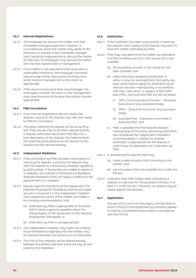#### **42.3 Internal Negotiations**

- 42.3.1 The employee will discuss the matter with their immediate manager/supervisor. However, in circumstances where the matter may relate to the behaviour or actions of the immediate manager and it would be inappropriate to discuss the matter at that level, the employee may discuss the matter with the next highest level of management.
- 42.3.2 If the matter is not resolved at that level within  $\alpha$ reasonable timeframe, the employee concerned may arrange further discussions involving more senior levels of management or the Union as appropriate.
- 42.3.3 If the issue involves more than one employee, the employees involved, the Union or the management may raise the issue at the level the parties consider appropriate.

#### **42.4 FWA Conciliation**

- 42.4.1 If the internal negotiations do not resolve the dispute, a party to the dispute may refer the matter to FWA for conciliation.
- 42.4.2 The party notifying the dispute will do so by filing with FWA and serving on all other relevant parties a dispute notification document that sets out a brief description of the dispute, the material facts the disputing party believes to be relevant to the dispute and the desired remedy.

### **42.5 Independent Mediation**

- 42.5.1 If the conciliation by FWA has been unsuccessful in resolving the dispute, a party to the dispute may refer the dispute to a third party mediator agreed to by both parties. If the parties are unable to agree on a mediator, the Institute of Arbitrators & Mediators Australia Mediation Rules will apply in relation to the appointment of a mediator.
- 42.5.2 Having regard to the terms of this Agreement, the National Employment Standards and the principles set out in clause 42.1.3, the independent mediator must assess the merits of the matter and make a non-binding recommendation that:
	- (a) arbitration by FWA is appropriate on the basis that it raises a genuine question about the interpretation of the Agreement or the National Employment Standards; or
	- (b) arbitration by FWA is not appropriate.
- 42.5.3 The independent mediator may make non-binding recommendations regarding how the matter may be resolved between the parties prior to arbitration.
- 42.5.4 The cost of the mediator will be shared equally between the parties and each party will pay its own costs for the mediation.

#### **42.6 Arbitration**

- 42.6.1 If the mediation has been unsuccessful in resolving the dispute, then a party to the dispute may elect to have the matter arbitrated by FWA.
- 42.6.2 FWA may only determine the matter by arbitration if all the conditions set out in this clause 42.6.2 are satisfied:
	- (a) the escalation process in this clause 42 has been followed; and
	- (b) where the party requesting arbitration is either a Union or Australia Post, that party has been authorised to apply for arbitration by its relevant decision-making body in accordance with their rules which, in respect of the CEPU and CPSU, and Australia Post are set out below:
		- (i) CEPU, Communications Division Divisional Executive (or any successor body);
		- (ii) CPSU Executive Council (or any successor body);
		- (iii) Australia Post Executive Committee of Australia Post; and
	- (c) FWA is satisfied that the relevant decisionmaking body of the party requesting arbitration has considered the independent mediator's recommendation in relation to whether arbitration is appropriate for the dispute in authorising the application for arbitration by FWA.
- 42.6.3 In arbitrating the dispute FWA may:
	- (a) make a determination that is binding on the parties; and
	- (b) use the powers that are available to it under the FW Act.
- 42.6.4 A decision that FWA makes when arbitrating a dispute is a decision for the purpose of Division 3 of Part 5-1 of the FW Act. Therefore, an appeal may be made against the decision.

### **42.7 Application**

Clauses 42.5 to 42.6 will only apply until the date on which a Party to the Agreement successfully applies to FWA for a protected action ballot in accordance with the FW Act.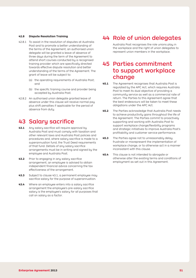#### **42.8 Dispute Resolution Training**

- 42.8.1 To assist in the resolution of disputes at Australia Post and to promote a better understanding of the terms of the Agreement, an authorised union delegate will be granted a leave of absence of three days during the term of the Agreement to attend short courses conducted by a recognised training provider which are specifically directed towards effective dispute resolution and better understanding of the terms of the Agreement. The grant of leave will be subject to:
	- (a) the operating requirements of Australia Post; and
	- (b) the specific training course and provider being accepted by Australia Post.
- 42.8.2 An authorised union delegate granted leave of absence under this clause will receive normal pay plus shift penalties if applicable for the period of absence from duty.

# **43 Salary sacrifice**

- **43.1** Any salary sacrifice will require approval by Australia Post and must comply with taxation and other relevant laws and Australia Post policies and procedures and, where salary sacrifice is made to a superannuation fund, the Trust Deed requirements of that fund. Details of any salary sacrifice arrangements must be in writing and signed by the employee and Australia Post.
- **43.2** Prior to engaging in any salary sacrifice arrangement, an employee is advised to obtain independent financial advice concerning the tax effectiveness of the arrangement.
- **43.3** Subject to clause 43.1, a permanent employee may sacrifice salary for the purpose of superannuation.
- **43.4** Where an employee enters into a salary sacrifice arrangement the employee's pre-salary sacrifice salary is the employee's salary for all purposes that call on salary as a factor.

# 44 Role of union delegates

Australia Post recognises the role unions play in the workplace and the right of union delegates to represent union members in the workplace.

# 45 Parties commitment to support workplace change

- **45.1** The Agreement recognises that Australia Post is regulated by the APC Act, which requires Australia Post to meet its dual objective of providing a community service as well as a commercial rate of return. The Parties to this Agreement agree that the best endeavours will be taken to meet these obligations under the APC Act.
- **45.2** The Parties acknowledge that Australia Post needs to achieve productivity gains throughout the life of the Agreement. The Parties commit to proactively supporting and working with Australia Post to support workplace change/flexibility programs and strategic initiatives to improve Australia Post's profitability and customer service performance.
- **45.3** The Parties agree not to unreasonably delay, frustrate or misrepresent the implementation of workplace change, or to otherwise act in a manner inconsistent with this clause.
- **45.4** This clause is not intended to abrogate or otherwise alter the existing terms and conditions of employment as set out in this Agreement.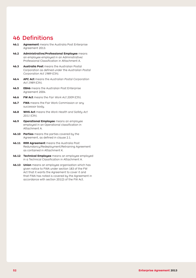# 46 Definitions

- **46.1 Agreement** means the Australia Post Enterprise Agreement 2013.
- **46.2 Administrative/Professional Employee** means an employee employed in an Administrative/ Professional Classification in Attachment A.
- **46.3 Australia Post** means the Australian Postal Corporation as defined under the *Australian Postal Corporation Act 1989* (Cth).
- **46.4 APC Act** means the *Australian Postal Corporation Act 1989* (Cth).
- **46.5 EBA6** means the Australian Post Enterprise Agreement 2004.
- **46.6 FW Act** means the *Fair Work Act 2009* (Cth).
- **46.7 FWA** means the Fair Work Commission or any successor body.
- **46.8 WHS Act** means the *Work Health and Safety Act 2011* (Cth).
- **46.9 Operational Employee** means an employee employed in an Operational classification in Attachment A.
- **46.10 Parties** means the parties covered by the Agreement, as defined in clause 2.1.
- **46.11 RRR Agreement** means the Australia Post Redundancy/Redeployment/Retraining Agreement as contained in Attachment K.
- **46.12 Technical Employee** means an employee employed in a Technical Classification in Attachment A.
- **46.13 Union** means an employee organisation which has given notice to FWA under section 183 of the FW Act that it wants the Agreement to cover it and that FWA has noted is covered by the Agreement in accordance with section 201(2) of the FW Act.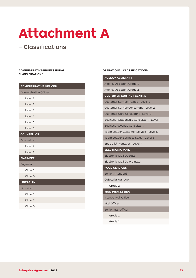# **Attachment A**

# – Classifications

## **Administrative/Professional Classifications**

| <b>ADMINISTRATIVE OFFICER</b> |
|-------------------------------|
| <b>Administrative Officer</b> |
| Level 1                       |
| Level 2                       |
| Level 3                       |
| Level 4                       |
| Level 5                       |
| Level 6                       |
| <b>COUNSELLOR</b>             |
| Counsellor                    |
| Level 2                       |
| Level 3                       |
| <b>ENGINEER</b>               |
| Engineer                      |
| Class <sub>2</sub>            |
| Class 3                       |
| <b>LIBRARIAN</b>              |
| Librarian                     |
| Class 1                       |
| Class <sub>2</sub>            |
| Class 3                       |

#### **Operational Classifications**

# **AGENCY ASSISTANT** Agency Assistant Grade 1

Agency Assistant Grade 2

**CUSTOMER CONTACT CENTRE**

Customer Service Trainee - Level 1

Customer Service Consultant - Level 2

Customer Care Consultant - Level 3

Business Relationship Consultant - Level 4

Business Revenue Consultant

Team Leader Customer Service - Level 5

Team Leader Business Sales - Level 6

Specialist Manager - Level 7

# **ELECTRONIC MAIL**

Electronic Mail Operator

Electronic Mail Co-ordinator

**FOOD SERVICES**

Senior Attendant

Cafeteria Manager

Grade 2

**MAIL PROCESSING**

Trainee Mail Officer

Mail Officer

Senior Mail Officer

Grade 1

Grade 2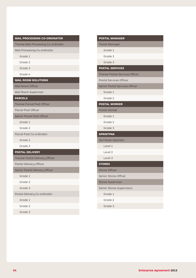| <b>MAIL PROCESSING CO-ORDINATOR</b>  | <b>POSTAL MANA</b>     |
|--------------------------------------|------------------------|
| Trainee Mail Processing Co-ordinator | Postal Manage          |
| Mail Processing Co-ordinator         | Grade 1                |
| Grade 1                              | Grade 2                |
| Grade 2                              | Grade 3                |
| Grade 3                              | <b>POSTAL SERV</b>     |
| Grade 4                              | <b>Trainee Postal</b>  |
| <b>MAIL ROOM SOLUTIONS</b>           | Postal Service         |
| Mail Room Officer                    | <b>Senior Postal 9</b> |
| Mail Room Supervisor                 | Grade 1                |
| <b>PARCELS</b>                       | Grade 2                |
| Trainee Parcel Post Officer          | <b>POSTAL WORI</b>     |
| <b>Parcel Post Officer</b>           | Postal Worker          |
| Senior Parcel Post Officer           | Grade 1                |
| Grade 1                              | Grade 2                |
| Grade 2                              | Grade 3                |
| Parcel Post Co-ordinator             | <b>SPRINTPAK</b>       |
| Grade 2                              | Sprintpak Ope          |
| Grade 3                              | Level 1                |
| <b>POSTAL DELIVERY</b>               | Level 2                |
| Trainee Postal Delivery Officer      | Level 3                |
| Postal Delivery Officer              | <b>STORES</b>          |
| Senior Postal Delivery Officer       | <b>Stores Officer</b>  |
| Grade 1                              | Senior Stores          |
| Grade 2                              | <b>Stores Supervi</b>  |
| Grade 3                              | Senior Stores 9        |
| Postal Delivery Co-ordinator         | Grade 1                |
| Grade 1                              | Grade 2                |
| Grade 2                              | Grade 3                |
| Grade 3                              |                        |

| <b>POSTAL MANAGER</b>                  |
|----------------------------------------|
| Postal Manager                         |
| Grade 1                                |
| Grade 2                                |
| Grade 3                                |
| <b>POSTAL SERVICES</b>                 |
| <b>Trainee Postal Services Officer</b> |
| Postal Services Officer                |
| Senior Postal Services Officer         |
| Grade 1                                |
| Grade 2                                |
| <b>POSTAL WORKER</b>                   |
| Postal Worker                          |
| Grade 1                                |
| Grade 2                                |
| Grade 3                                |
| <b>SPRINTPAK</b>                       |
| Sprintpak Operator                     |
| Level 1                                |
| Level 2                                |
| Level 3                                |
| <b>STORES</b>                          |
| <b>Stores Officer</b>                  |
| Senior Stores Officer                  |
| <b>Stores Supervisor</b>               |
| Senior Stores Supervisors              |
| Grade 1                                |
| Grade 2                                |
| Grade 3                                |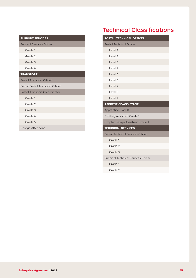| <b>SUPPORT SERVICES</b>         |
|---------------------------------|
| <b>Support Services Officer</b> |
| Grade 1                         |
| Grade 2                         |
| Grade 3                         |
| Grade 4                         |
| <b>TRANSPORT</b>                |
| Postal Transport Officer        |
| Senior Postal Transport Officer |
| Postal Transport Co-ordinator   |
| Grade 1                         |
| Grade 2                         |
| Grade 3                         |
| Grade 4                         |
| Grade 5                         |
| Garage Attendant                |

# Technical Classifications

| <b>POSTAL TECHNICAL OFFICER</b>      |
|--------------------------------------|
| <b>Postal Technical Officer</b>      |
| Level 1                              |
| Level 2                              |
| Level 3                              |
| Level 4                              |
| Level 5                              |
| Level 6                              |
| Level 7                              |
| Level 8                              |
| Level 9                              |
| <b>APPRENTICE/ASSISTANT</b>          |
| Apprentice - Adult                   |
| Drafting Assistant Grade 1           |
| Graphic Design Assistant Grade 1     |
| <b>TECHNICAL SERVICES</b>            |
| Senior Technical Services Officer    |
| Grade 1                              |
| Grade 2                              |
| Grade 3                              |
| Principal Technical Services Officer |
| Grade 1                              |
| Grade 2                              |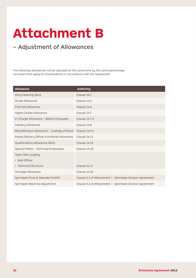# **Attachment B**

# – Adjustment of Allowances

The following allowances will be adjusted at the same time by the same percentage increases that apply to classifications in accordance with the Agreement:

| <b>Allowance</b>                             | <b>Authority</b>                                          |
|----------------------------------------------|-----------------------------------------------------------|
| Dirty Cleaning Work                          | Clause 14.1                                               |
| Divide Allowance                             | Clause 14.2                                               |
| First Aid Allowance                          | Clause 14.4                                               |
| Higher Duties Allowance                      | Clause 14.7                                               |
| In-Charge Allowance - Retail Employees       | Clause 14.7.5                                             |
| Industry Allowance                           | Clause 14.8                                               |
| Miscellaneous Allowance - Custody of Stock   | Clause 14.9.1                                             |
| Postal Delivery Officer Functional Allowance | Clause 14.11                                              |
| <b>Qualifications Allowance (AO1)</b>        | <b>Clause 14.13</b>                                       |
| Special Rates - Technical Employees          | Clause 14.15                                              |
| Team Skill Loading:                          |                                                           |
| • Mail Officer                               |                                                           |
| • Technical Structure                        | Clause 14.17                                              |
| Tonnage Allowance                            | Clause 14.20                                              |
| Sprintpak Drive & Operate Forklift           | Clause 5.1 of Attachment I - Sprintpak Division Agreement |
| Sprintpak Machine Adjustment                 | Clause 5.2 of Attachment I - Sprintpak Division Agreement |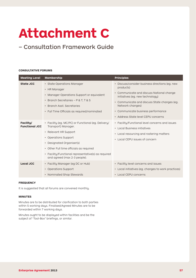# **Attachment C**

# – Consultation Framework Guide

# **Consultative Forums**

| <b>Meeting Level</b>               | <b>Membership</b>                                                                                                                                                                                                                                                                          | <b>Principles</b>                                                                                                                                                                                                                                                                              |
|------------------------------------|--------------------------------------------------------------------------------------------------------------------------------------------------------------------------------------------------------------------------------------------------------------------------------------------|------------------------------------------------------------------------------------------------------------------------------------------------------------------------------------------------------------------------------------------------------------------------------------------------|
| State JCC                          | · State Operations Manager<br>• HR Manager<br>• Manager Operations Support or equivalent<br>• Branch Secretaries - P & T, T & S<br>• Branch Asst, Secretaries<br>• Full Time Officials as required/nominated                                                                               | · Discuss/consider business directions (eg. new<br>products)<br>• Communicate and discuss National change<br>initiatives (eq. new technology)<br>• Communicate and discuss State changes (eg.<br>Network changes)<br>• Communicate business performance<br>• Address State level CEPU concerns |
| Facility/<br><b>Functional JCC</b> | • Facility (eg. MC/PC) or Functional (eg. Delivery/<br>Transport) Manager.<br>• Relevant HR Support<br>• Operations Support<br>• Designated Organiser(s)<br>• Other Full time officials as required<br>• Facility/Functional representative(s) as required<br>and agreed (max 2-3 people). | • Facility/Functional level concerns and issues<br>• Local Business initiatives<br>• Local resourcing and rostering matters<br>• Local CEPU issues of concern                                                                                                                                  |
| <b>Local JCC</b>                   | • Facility Manager (eg DC or Hub)<br>• Operations Support<br>• Nominated Shop Stewards                                                                                                                                                                                                     | • Facility level concerns and issues<br>• Local initiatives (eg. changes to work practices)<br>• Local CEPU concerns                                                                                                                                                                           |

# **Frequency**

It is suggested that all forums are convened monthly.

#### **Minutes**

Minutes are to be distributed for clarification to both parties within 5 working days. Finalised/Agreed Minutes are to be forwarded within 7 working days.

Minutes ought to be displayed within facilities and be the subject of "Tool-Box" briefings, or similar.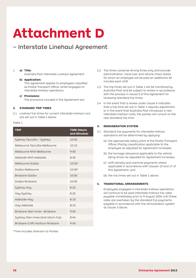# **Attachment D**

# – Interstate Linehaul Agreement

## 1. **a) Title:**

Australia Post Interstate Linehaul Agreement

#### **b) Application:**

This agreement applies to employees classified as Postal Transport Officer whilst engaged on interstate linehaul operations.

#### **c) Provisions:**

The provisions included in the Agreement are:

## **2. Standard Trip Times**

2.1 Linehaul trip times for current interstate linehaul runs are set out in Table 1 below:

#### Table 1

| <b>TRIP</b>                         | <b>TIME (Hours</b><br>and Minutes) |
|-------------------------------------|------------------------------------|
| Sydney-Tarcutta - Sydney            | 10:00                              |
| Melbourne-Tarcutta-Melbourne        | 10:10                              |
| Melbourne-Nhill-Melbourne           | 9:00                               |
| Adelaide-Nhill-Adelaide             | 8:30                               |
| Melbourne-Dubbo                     | $10:05*$                           |
| Dubbo-Melbourne                     | $10:05*$                           |
| Brisbane-Dubbo                      | 10:00                              |
| Dubbo-Brisbane                      | 10:00                              |
| Sydney-Hay                          | 8:25                               |
| Hay-Sydney                          | 8:25                               |
| Adelaide-Hay                        | 8:10                               |
| Hay-Adelaide                        | 8:10                               |
| Brisbane-Glen Innes -Brisbane       | 9:05                               |
| Sydney-Glen Innes (and return trip) | 8:45                               |
| Brisbane-Coffs Harbour-Brisbane     | 9:45                               |

\*Time includes diversion to Parkes

- 2.2 Trip times comprise driving times only and exclude administration, hand over and vehicle check duties for which an employee will be paid an additional 30 minutes each shift.
- 2.3 The trip times set out in Table 1 will be monitored by Australia Post and be subject to review in accordance with the process in clause 5 of this Agreement for reviewing standard trip times.
- 2.4 In the event that a review under clause 5 indicates that a trip time set out in Table 1 requires adjustment, or in the event that Australia Post introduces a new interstate linehaul route, the parties will consult on the new standard trip time.

#### **3. Remuneration System**

- 3.1 Standard trip payments for interstate linehaul operations will be determined by applying:
	- (a) the appropriate salary point of the Postal Transport Officer (Parity) classification applicable to the employee as adjusted for Agreement increases;
	- (b) the tonnage allowance applicable to the vehicle being driven as adjusted for Agreement increases;
	- (c) shift penalty and overtime payments where applicable in accordance with clauses 15 and 17 of this Agreement; and
	- (d) the trip times set out in Table 1 above.

#### **4. Transitional Arrangements**

Employees engaged in interstate linehaul operations will continue to be paid interstate linehaul trip rates payable immediately prior to 9 August 2004 until these rates are overtaken by the standard trip payments payable in accordance with the remuneration system at clause 3 above.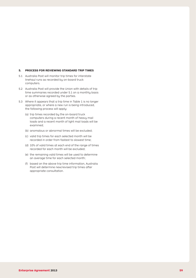#### **5. Process for Reviewing Standard Trip Times**

- 5.1 Australia Post will monitor trip times for interstate linehaul runs as recorded by on-board truck computers.
- 5.2 Australia Post will provide the Union with details of trip time summaries recorded under 5.1 on a monthly basis or as otherwise agreed by the parties.
- 5.3 Where it appears that a trip time in Table 1 is no longer appropriate, or where a new run is being introduced, the following process will apply:
	- (a) trip times recorded by the on-board truck computers during a recent month of heavy mail loads and a recent month of light mail loads will be examined;
	- (b) anomalous or abnormal times will be excluded;
	- (c) valid trip times for each selected month will be recorded in order from fastest to slowest time;
	- (d) 10% of valid times at each end of the range of times recorded for each month will be excluded;
	- (e) the remaining valid times will be used to determine an average time for each selected month;
	- (f) based on the above trip time information, Australia Post will determine new/revised trip times after appropriate consultation.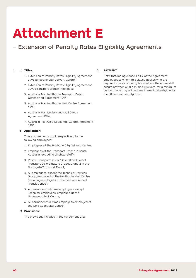# **Attachment E**

# – Extension of Penalty Rates Eligibility Agreements

## **1. a) Titles:**

- 1. Extension of Penalty Rates Eligibility Agreement 1993 (Brisbane City Delivery Centre);
- 2. Extension of Penalty Rates Eligibility Agreement 1993 (Transport Branch (Adelaide);
- 3. Australia Post Northgate Transport Depot Queensland Agreement 1994;
- 5. Australia Post Northgate Mail Centre Agreement 1995;
- 6. Australia Post Underwood Mail Centre Agreement 1996;
- 7. Australia Post Gold Coast Mail Centre Agreement 1995.

#### **b) Application:**

 These agreements apply respectively to the following employees:

- 1. Employees at the Brisbane City Delivery Centre;
- 2. Employees at the Transport Branch in South Australia (excluding Linehaul staff);
- 3. Postal Transport Officer (Drivers) and Postal Transport Co-ordinators Grades 1 and 2 in the Northgate Transport Depot;
- 4. All employees, except the Technical Services Group, employed at the Northgate Mail Centre (including employees at the Brisbane Airport Transit Centre);
- 5. All permanent full-time employees, except Technical employees, employed at the Underwood Mail Centre;
- 6. All permanent full-time employees employed at the Gold Coast Mail Centre.

#### **c) Provisions:**

 The provisions included in the Agreement are:

# **2. Payment**

Notwithstanding clause 17.1.2 of the Agreement, employees to whom this clause applies who are required to work ordinary hours where the entire shift occurs between 6:00 p.m. and 8:00 a.m. for a minimum period of one day will become immediately eligible for the 30 percent penalty rate.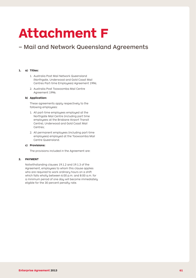# **Attachment F**

# – Mail and Network Queensland Agreements

## **1. a) Titles:**

- 1. Australia Post Mail Network Queensland (Northgate, Underwood and Gold Coast Mail Centres Part-time Employees) Agreement 1996;
- 2. Australia Post Toowoomba Mail Centre Agreement 1996.

#### **b) Application:**

 These agreements apply respectively to the following employees:

- 1. All part-time employees employed at the Northgate Mail Centre (including part time employees at the Brisbane Airport Transit Centre), Underwood and Gold Coast Mail Centres;
- 2. All permanent employees (including part-time employees) employed at the Toowoomba Mail Centre Queensland.

#### **c) Provisions:**

 The provisions included in the Agreement are:

#### **2. PAYMENT**

Notwithstanding clauses 19.1.2 and 19.1.3 of the Agreement, employees to whom this clause applies who are required to work ordinary hours on a shift which falls wholly between 6:00 p.m. and 8:00 a.m. for a minimum period of one day will become immediately eligible for the 30 percent penalty rate.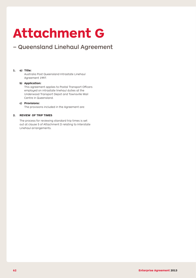# **Attachment G**

# – Queensland Linehaul Agreement

## **1. a) Title:**

Australia Post Queensland Intrastate Linehaul Agreement 1997.

## **b) Application:**

This agreement applies to Postal Transport Officers employed on intrastate linehaul duties at the Underwood Transport Depot and Townsville Mail Centre in Queensland.

## **c) Provisions:**

The provisions included in the Agreement are:

# **2. REVIEW OF TRIP TIMES**

 The process for reviewing standard trip times is set out at clause 5 of Attachment D relating to Interstate Linehaul arrangements.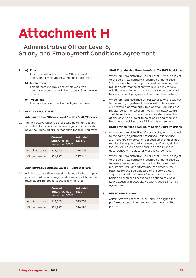# **Attachment H**

– Administrative Officer Level 6, Salary and Employment Conditions Agreement

### **1. a) Title:**

Australia Post Administrative Officers Level 6 Salary and Employment Conditions Agreement.

#### **b) Application:**

 This agreement applies to employees who nominally occupy an Administrative Officer Level 6 position.

#### **c) Provisions:**

 The provisions included in the Agreement are:

## **2. Salary Adjustment**

## **Administrative Officers Level 6 – Non Shift Workers**

2.1 Administrative Officers Level 6 who nominally occupy a position that does not require regular shift work shall have their base salary increased to the following rates:

|                 | Current<br><b>Salary</b> (as at 2)<br>November 2006) | Adjusted<br>Salary |
|-----------------|------------------------------------------------------|--------------------|
| Administrative  | \$69,520                                             | \$74.703           |
| Officer Level 6 | \$71,937                                             | \$77,114           |

#### **Administrative Officers Level 6 – Shift Workers**

2.2 Administrative Officers Level 6 who nominally occupy a position that requires regular shift work shall have their base salary increased to the following rates:

|                 | Current<br>Salary (as at 2<br>November 2006) | Adjusted<br>Salary |
|-----------------|----------------------------------------------|--------------------|
| Administrative  | \$69,520                                     | \$73,781           |
| Officer Level 6 | \$71,937                                     | \$76,196           |

## **Staff Transferring From Non-Shift To Shift Positions**

- 2.3 Where an Administrative Officer Level 6, who is subject to the salary adjustment prescribed under clause 2.1, transfers temporarily to a position requiring the regular performance of shiftwork, eligibility for any additional entitlement to Annual Leave Loading shall be determined by agreement between the parties.
- 2.4 Where an Administrative Officer Level 6, who is subject to the salary adjustment prescribed under clause 2.1, transfers permanently to a position requiring the regular performance of shiftwork, their base salary shall be reduced to the same salary step prescribed at clause 2.2 on a point to point basis and they shall become subject to clause 18.9 of this Agreement.

#### **Staff Transferring From Shift To Non-Shift Positions**

- 2.5 Where an Administrative Officer Level 6, who is subject to the salary adjustment prescribed under clause 2.2, transfers temporarily to a position that does not require the regular performance of shiftwork, eligibility for Annual Leave Loading shall be determined in accordance with clause 18.9 of the Agreement.
- 2.6 Where an Administrative Officer Level 6, who is subject to the salary adjustment prescribed under clause 2.2, transfers permanently to a position that does not require the regular performance of shiftwork, their base salary shall be adjusted to the same salary step prescribed at clause 2.1 on a point to point basis and they shall cease to be entitled to Annual Leave Loading in accordance with clause 18.9 of the Agreement.

#### **3. PERFORMANCE PAY**

 Administrative Officers Level 6 shall be eligible for performance pay in a manner determined by the parties.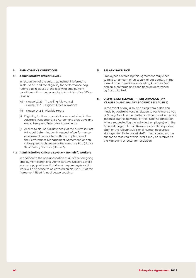## **4. EMPLOYMENT CONDITIONS**

#### 4.1 **Administrative Officer Level 6**

In recognition of the salary adjustment referred to in clause 5.1 and the eligibility for performance pay referred to in clause 3, the following employment conditions will no longer apply to Administrative Officer Level 6:

- (g) clause 12.23 : Travelling Allowance| - clause 12.7 : Higher Duties Allowance
- (h) clause 14.2.3: Flexible Hours
- (i) Eligibility for the corporate bonus contained in the Australia Post Enterprise Agreement 1996-1998 and any subsequent Enterprise Agreements.
- (j) Access to clause 5 (Grievances) of the Australia Post Principal Determination in respect of performance assessment associated with the application of the Performance Management Agreement (or any subsequent such process), Performance Pay (clause 3), or Salary Sacrifice (clause 5).

#### 4.2 **Administrative Officers Level 6 – Non Shift Workers**

In addition to the non-application of all of the foregoing employment conditions, Administrative Officers Level 6 who occupy positions that do not require regular shift work will also cease to be covered by clause 18.9 of the Agreement titled Annual Leave Loading.

## **5. SALARY SACRIFICE**

 Employees covered by this Agreement may elect to take an amount of up to 25% of base salary in the form of other benefits approved by Australia Post and on such terms and conditions as determined by Australia Post.

## **6. DISPUTE SETTLEMENT - PERFORMANCE PAY (CLAUSE 3) AND SALARY SACRIFICE (CLAUSE 5)**

 In the event of any dispute arising from a decision made by Australia Post in relation to Performance Pay or Salary Sacrifice the matter shall be raised in the first instance, by the individual or their Staff Organisation (where requested by the individual employee) with the Group Manager, Human Resources (for Headquarters staff) or the relevant Divisional Human Resources Manager (for State based staff). If a disputed matter cannot be resolved at this level it may be referred to the Managing Director for resolution.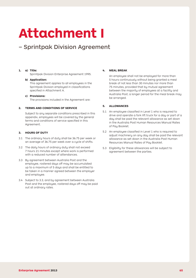# **Attachment I**

# – Sprintpak Division Agreement

## **1. a) Title:**

Sprintpak Division Enterprise Agreement 1995.

#### **b) Application:**

 This agreement applies to all employees in the Sprintpak Division employed in classifications specified in Attachment A.

### **c) Provisions:**

 The provisions included in the Agreement are:

#### **2. TERMS AND CONDITIONS OF SERVICE**

 Subject to any separate conditions prescribed in this appendix, employees will be covered by the general terms and conditions of service specified in this Agreement.

## **3. HOURS OF DUTY**

- 3.1 The ordinary hours of duty shall be 36.75 per week or an average of 36.75 per week over a cycle of shifts.
- 3.2 The daily hours of ordinary duty shall not exceed 7 hours 21 minutes except where work is performed with a reduced number of attendances.
- 3.3 By agreement between Australia Post and the employee, rostered days off may be accumulated up to a maximum of 5 days and shall be entitled to be taken in a manner agreed between the employer and employee.
- 3.4 Subject to 3.3, and by agreement between Australia Post and the employee, rostered days off may be paid out at ordinary rates.

## **4. MEAL BREAK**

 An employee shall not be employed for more than 5 hours continuously without being granted a meal break of not less than 30 minutes nor more than 75 minutes, provided that by mutual agreement between the majority of employees at a facility and Australia Post, a longer period for the meal break may be arranged.

## **5. ALLOWANCES**

- 5.1 An employee classified in Level 1 who is required to drive and operate a fork lift truck for a day or part of a day shall be paid the relevant allowance as set down in the Australia Post Human Resources Manual Rates of Pay Booklet.
- 5.2 An employee classified in Level 1 who is required to adjust machinery on any day shall be paid the relevant allowance as set down in the Australia Post Human Resources Manual Rates of Pay Booklet.
- 5.3 Eligibility for these allowances will be subject to agreement between the parties.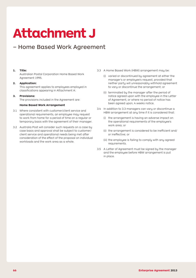# **Attachment J**

# – Home Based Work Agreement

### **1. Title:**

Australian Postal Corporation Home Based Work Agreement 1995.

#### **2. Application:**

This agreement applies to employees employed in classifications appearing in Attachment A:

#### **3. Provisions:**

The provisions included in the Agreement are:

### **Home Based Work Arrangement**

- 3.1 Where consistent with customer/client service and operational requirements, an employee may request to work from home for a period of time on a regular or temporary basis with the agreement of their manager.
- 3.2 Australia Post will consider such requests on a case by case basis and approval shall be subject to customer/ client service and operational needs being met after consideration of the effect of the proposal on individual workloads and the work area as a whole.
- 3.3 A Home Based Work (HBW) arrangement may be:
	- (i) varied or discontinued by agreement at either the manager's or employee's request, provided that neither party will unreasonably withhold agreement to vary or discontinue the arrangement; or
	- (ii) terminated by the manager after the period of notice agreed upon with the employee in the Letter of Agreement, or where no period of notice has been agreed upon, 4 weeks notice.
- 3.4 In addition to 3.3 managers can vary or discontinue a HBW arrangement at any time if it is considered that:
	- (i) the arrangement is having an adverse impact on the operational requirements of the employee's work area; or
	- (ii) the arrangement is considered to be inefficient and/ or ineffective; or
	- (iii) the employee is failing to comply with any agreed requirements.
- 3.5 A Letter of Agreement must be signed by the manager and the employee before HBW arrangement is put in place.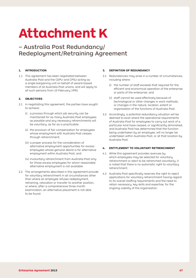# **Attachment K**

– Australia Post Redundancy/ Redeployment/Retraining Agreement

## **1. Introduction**

1.1 This agreement has been negotiated between Australia Post and the CEPU and CPSU acting as a single bargaining unit on behalf of award-based members of all Australia Post unions, and will apply to all such persons from 10 February 1993.

## **2. Objectives**

- 2.1 In negotiating this agreement, the parties have sought to achieve:
	- (i) a process through which job security can be maintained for as many Australia Post employees as possible and any necessary retrenchments will be voluntary, as far as is practicable;
	- (ii) the provision of fair compensation for employees whose emploument with Australia Post ceases through retrenchment;
	- (iii) a proper process for the consideration of alternative employment opportunities for excess employees whose genuine desire is for alternative employment within Australia Post; and
	- (iv) involuntary retrenchment from Australia Post only for those excess employees for whom reasonable alternative employment is not available.
- 2.2 The arrangements described in this agreement provide for voluntary retrenchment in all circumstances other than where an employee refuses redeployment, retraining, relocation or transfer to another position, or where, after a comprehensive three month examination, an alternative placement is not able to be found.

## **3. Definition of Redundancy**

- 3.1 Redundancies may arise in a number of circumstances, including where:
	- (i) the number of staff exceeds that required for the efficient and economical operation of the enterprise or parts of the enterprise; and
	- (ii) staff cannot be used effectively because of technological or other changes in work methods, or changes in the nature, location, extent or organisation of the functions of Australia Post.
- 3.2 Accordingly, a potential redundancy situation will be deemed to exist where the operational requirements of Australia Post for employees to carry out work of a particular kind have ceased, or significantly diminished, and Australia Post has determined that the function being undertaken by an employee, will no longer be undertaken within Australia Post, or at that location by Australia Post.

## **4. Entitlement to Voluntary Retrenchment**

- 4.1 While this agreement provides avenues by which employees may be selected for voluntary retrenchment or elect to be retrenched voluntarily, it is noted that there is no automatic right to voluntary retrenchment.
- 4.2 Australia Post specifically reserves the right to reject applications for voluntary retrenchment having regard to its overall staffing requirements and the need to retain necessary, key skills and expertise, for the ongoing viability of the organisation.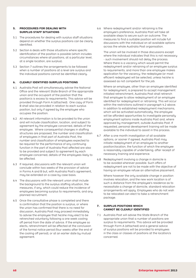## **5. Procedures for Dealing with Surplus Staff Situations**

- 5.1 The procedures for dealing with surplus staff situations depend on whether the surplus positions can be clearly identified.
- 5.2 Section 6 deals with those situations where specific identification of the position is possible (which includes circumstances where all positions, at a particular level, at a single location, are surplus).
- 5.3 Section 7 outlines the arrangements to be followed when a number of positions at a level are surplus and the individual positions cannot be identified clearly.

## **6. Clearly Identified Surplus Positions**

- 6.1 Australia Post will simultaneously advise the National Office and the relevant State Branch of the appropriate union and the occupant of the position that the position/s is excess to requirements. This advice will be provided through Form A (attached). One copy of Form B shall also be provided in relation to each surplus position, but only if agreed by the employee who occupies the position.
- 6.2 All relevant information is to be provided to the union and will include classification, location, and subject to agreement by the employee concerned, details of the employee. Where consequential changes in staffing structures are proposed, the number and classification of employees in that part of Australia Post, the number and classification of employees expected to be required for the performance of any continuing function in the part of Australia Post affected are also to be provided and subject to agreement by each employee concerned, details of the employees likely to be affected.
- 6.3 If required, discussions with the relevant union will conclude within two weeks of the provision of advice in Forms A and B but, with Australia Post's agreement, may be extended on a case by case basis.
- 6.4 The discussions with the relevant union shall include the background to the surplus staffing situation, the measures, if any, which could reduce the incidence of employees becoming surplus to requirements, and any planned recruitment.
- 6.5 Once the consultative phase is completed and there is confirmation that the position is surplus, or where the union has confirmed that there is no need for discussion, Australia Post may proceed immediately to advise the employee that he/she may elect to be retrenched voluntarily following a one week cooling off period from the date of advice. If the employee so elects, retrenchment will be effected at the conclusion of the formal notice period (four weeks after the end of the cooling off period), or at an earlier date by mutual agreement.

6.6 Where redeployment and/or retraining is the employee's preference, Australia Post will take all available steps to secure such an outcome. The measures to find a suitable position will include full discussions with the individual on all available options across the whole Australia Post organisation.

 The union will be involved in those discussions except where the individual indicates that this is not necessary - such involvement should not delay the process. Where there is a vacancy which would permit the redeployment and/or retraining of an employee surplus to requirements, and more than one employee makes application for the vacancy; the redeployee (or most efficient redeployee) will be selected, unless he/she is assessed as not competent for the job.

 Where an employee, other than an employee identified for redeployment, is prepared to accept management initiated retrenchment, Australia Post shall retrench that employee to allow redeployment of an employee identified for redeployment or retraining. This will occur within the restrictions outlined in paragraph 4.2 above. In addition to established redeployment mechanisms, which will be activated automatically, the employee will be afforded opportunities to investigate personally employment options inside Australia Post and, where approved by management, outside Australia Post. If requested, personal development training will be made available to the individual to assist in this process.

- 6.7 After a one month investigation of all available options, or sooner if agreed, Australia Post may initiate redeployment of an employee to another position/location, the function of which the employee is reasonably capable of undertaking, after receipt of necessary training and experience.
- 6.8 Redeployment involving a change in domicile is to be avoided wherever possible. Such offers of redeployment are not to be made with the objective of having an employee refuse an alternative placement.

 Where however the only available change in position involves relocation, and the new work location is of such a distance from the employee's residence as to necessitate a change of domicile, standard relocation arrangements will apply. Employees who do not wish to be relocated can elect to take a retrenchment package.

## **7. Surplus Positions which cannot be clearly Identified**

7.1 Australia Post will advise the State Branch of the appropriate union that a number of positions are surplus to requirements. This advice will be provided through Form A (attached) and a general advice of surplus positions will be provided to employees in the class or classes of positions at the location/s concerned.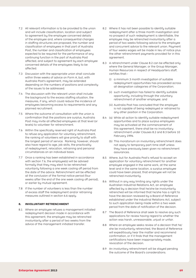- 7.2 All relevant information is to be provided to the union and will include classification, location and subject to agreement by the employee concerned details of the employee and, where consequential changes in staffing structures are proposed, the number and classification of employees in that part of Australia Post, the number and classification of employees expected to be required for the performance of any continuing function in the part of Australia Post affected, and subject to agreement by each employee concerned details of the employees likely to be affected.
- 7.3 Discussion with the appropriate union shall conclude within three weeks of advice on Form A, but, with Australia Post's agreement, may be extended depending on the numbers of positions and complexity of the issues to be addressed.
- 7.4 The discussion with the relevant union shall include the background to the excess staffing situation, the measures, if any, which could reduce the incidence of employees becoming excess to requirements and any planned recruitment.
- 7.5 Where the outcome of consultation with the union is confirmation that the positions are surplus, Australia Post may invite all affected employees at that level (or levels) to volunteer for retrenchment.
- 7.6 Within the specifically reserved right of Australia Post to refuse any application for voluntary retrenchment, the ranking of volunteers will give priority to staff with the longest period of service. Ranking, however, should also have regard to age, job skills, the practicality of redeployment, relocation, retraining and personal circumstances on an individual basis.
- 7.7 Once a ranking has been established in accordance with section 7.6, the employee(s) will be advised formally that they may elect to be retrenched voluntarily following a one week cooling off period from the date of the advice. Retrenchment will be effected at the conclusion of the formal notice period (four weeks after the end of the one week cooling off period), or earlier by mutual agreement.
- 7.8 If the number of volunteers is less than the number of excess staff the redeployment and/or retraining measures outlined in section 6.6 apply.

## **8. Involuntary Retrenchment**

8.1 Where an employee refuses a management initiated redeployment decision made in accordance with this agreement, the employee may be retrenched involuntarily after a period of two weeks from the advice of the management initiated transfer.

- 8.2 Where it has not been possible to identify suitable redeployment after a three month investigation and no prospect of such redeployment is identifiable, the employee may be retrenched involuntarily after a period of two weeks following advice to the employee and concurrent advice to the relevant union. Payment of four weeks wages will be made in lieu of notice plus the other retrenchment payments provided for in this agreement.
- 8.3 A retrenchment under Clause 8.2 can be effected only where the General Manager, or the Group Manager, Human Resources in respect of Headquarters staff, certifies that:-
	- (i)  $\alpha$  minimum 3 month investigation of suitable redeployment opportunities has proceeded across all designation categories of the Corporation;
	- (ii) such investigation has failed to identify suitable opportunity, including through the voluntary retrenchment of another employee; and
	- (iii) Australia Post has concluded that the employee is not capable of being redeployed or retrained to any other position in the Corporation.
- 8.4 (a) While all action to identify suitable redeployment opportunities and to place surplus employees may be activated at the commencement of this agreement, there shall be no involuntary retrenchment under Clauses 8.2 and 8.3 before 10 February 1994.
	- (b) This moratorium on involuntary retrenchment does not apply to temporary part-time staff unless they have previously been given no retrenchment assurances.
- 8.5 Where, but for Australia Post's refusal to accept an application for voluntary retrenchment for another employee engaged in the same work, at the same level and in the same location, a surplus employee could have been placed, that employee will not be retrenched involuntarily.
- 8.6 Without in any way limiting any rights under the Australian Industrial Relations Act, an employee affected by a decision that he/she be involuntarily retrenched will be informed that he/she has a right to have the decision reviewed by a Board of Reference established under the Industrial Relations Act, subject to such application being made within a two week period from the date of notification of the decision.
- 8.7 The Board of Reference shall seek to resolve any such applications for review having regard to whether the action was harsh, unreasonable, unjust or unfair.
- 8.8 Where an employee seeks review of a decision that he/ she be involuntarily retrenched, the Board of Reference will expeditiously hear the matter and recommend confirmation, or if it finds that the management certifications have been inappropriately made, revocation of the decision.
- 8.9 An involuntary retrenchment will be stayed pending the outcome of the Board's considerations.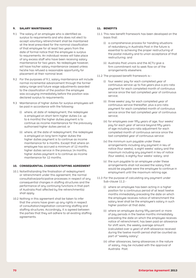## **9. Salary Maintenance**

- 9.1 The salary of an employee who is identified as surplus to requirements and who does not elect to accept voluntary retrenchment shall be maintained at the level prescribed for the nominal classification of that employee for at least two years from the date of formal notice that the employee is surplus to requirements. An individual review will take place of any excess staff who have been receiving salary maintenance for two years. No redeployee however, will have his/her salary maintenance ceased unless he/she has refused a reasonable opportunity for placement at their nominal level.
- 9.2 For the purposes of 9.1, salary maintenance will include normal incremental advancement through the former salary range and future wage adjustments awarded to the classification of the position the employee was occupying immediately before the position was declared surplus to requirements.
- 9.3 Maintenance of higher duties for surplus employees will be paid in accordance with the following:
	- (i) where, at date of redeployment, the redeployee is employed on short term higher duties (i.e. up to 6 months) the higher duties payment is to continue as income maintenance for the previously authorised higher duties period; or
	- (ii) where, at the date of redeployment, the redeployee is employed on long term higher duties the higher duties payment is to continue as income maintenance for 6 months. Except that where an employee has accrued a minimum of 12 months higher duties service in the previous 14 months, higher duties payment is to continue as income maintenance for 12 months.

#### **10. Consequential Changes/Staffing Agreement**

- 10.1 Notwithstanding the finalisation of redeployment or retrenchment under this agreement, the normal consultative/participative processes in respect of any consequential changes in staffing structures and the performance of any continuing functions in that part of Australia Post affected by the retrenchment(s) shall apply.
- 10.2 Nothing in this agreement shall be taken to infer that the unions have given up any rights in respect of consultation/negotiation concerning staffing and staffing structures. Accordingly, it is agreed between the parties that they will adhere to all existing staffing agreements.

# **11. Benefits**

- 11.1 This new benefit framework has been developed on the basis that:
	- (i) a comprehensive process for handling situations of redundancy in Australia Post in the future is essential to achieving the proper restructuring of the postal industry and to union acceptance of that restructuring; and
	- (ii) Australia Post unions and the ACTU give a firm commitment not to seek flow-on of the arrangements elsewhere.
- 11.2 The proposed benefit framework is:-
	- (i) four weeks' pay for each completed year of continuous service up to five years plus a pro-rata payment for each completed month of continuous service since the last completed year of continuous service;
	- (ii) three weeks' pay for each completed year of continuous service thereafter, plus a pro-rata payment for each completed month of continuous service since the last completed year of continuous service;
	- (iii) for employees over fifty years of age, four weeks' pay for each year of service beyond fifty years of age including pro-rata adjustment for each completed month of continuous service since the last completed year of continuous service:
	- (iv) the minimum sum payable under these arrangements including any payment in lieu of notice (four weeks), is eight weeks' salary and the maximum including any payment in lieu of notice (four weeks), is eighty-four weeks' salary; and
	- (v) the sum payable to an employee under these arrangements shall not exceed the salary that would be payable were the employee to continue in employment until the maximum retiring age.
- 11.3 For the purpose of calculating any payment under Sub-clause 11.2:-
	- (i) where an employee has been acting in a higher position for a continuous period of at least twelve months immediately preceding the date on which the employee receives notice of retrenchment the salary level shall be the employee's salary in such higher position at that date;
	- (ii) where an employee during fifty percent or more of pay periods in the twelve months immediately preceding the date on which the employee receives notice of retrenchment, has been paid an allowance for shift work, the weekly average amount (calculated over a year) of shift allowance received during the twelve month period shall be counted as part of "weekly salary".
	- (iii) other allowances, being allowances in the nature of salary, may be included with the approval of Australia Post.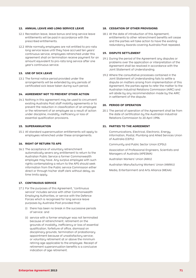## **12. Annual Leave and Long Service Leave**

- 12.1 Recreation leave, leave bonus and long service leave entitlements will be paid in accordance with the prescribed entitlements.
- 12.2 While normally employees are not entitled to pro-rata long service leave until they have accrued ten years' continuous service, employees retrenched under this agreement shall on termination receive payment for an amount equivalent to pro-rata long service after one year's continuous service.

#### **13. Use of Sick Leave**

13.1 The formal notice period provided under the arrangements will be extended by any periods of certificated sick leave taken during such period.

#### **14. Agreement Not To Prevent Other Action**

14.1 Nothing in this agreement may be used to circumvent existing Australia Post staff mobility agreements or to prevent the reduction in classification of an employee or the retirement of an employee as a result of action under discipline, invalidity, inefficiency or loss of essential qualification provisions.

#### **15. Superannuation**

15.1 All standard superannuation entitlements will apply to employees retrenched under these arrangements.

### **16. Right Of Return To Aps**

16.1 The acceptance of voluntary retrenchment automatically severs any entitlement to return to the Australian Public Service a former Commonwealth employee may have. Any surplus employee with such rights contemplating a return to the APS should seek information from the Public service Commission either direct or through his/her staff clerk without delay, as time limits apply.

#### **17. CONTINUOUS SERVICE**

- 17.1 For the purposes of this Agreement, "continuous service" includes service with other Commonwealth Employing Authorities, or service with the Defence Forces which is recognised for long service leave purposes by Australia Post provided that:
	- (i) there has been no break in the successive periods of service: and
	- (ii) service with a former employer was not terminated because of retrenchment; retirement on the grounds of invalidity, inefficiency or loss of essential qualification, forfeiture of office, dismissal on disciplinary grounds; termination of probationary appointment because of unsatisfactory service; or voluntary retirement at or above the minimum retiring age applicable to the employee. Receipt of retirement superannuation benefits is a conclusive indication of age retirement.

#### **18. CESSATION OF OTHER PROVISIONS**

18.1 At the date of introduction of this Agreement, entitlements to other retrenchment benefits will cease and the parties will take action to have the existing redundancy Awards covering Australia Post repealed.

## **19. DISPUTE SETTLEMENT**

- 19.1 During the period of the Agreement any disputes or problems over the application or interpretation of the Agreement shall be resolved in accordance with the Joint Statement of Understanding.
- 19.2 Where the consultative processes contained in the Joint Statement of Understanding fails to settle a dispute on matters arising from implementation of this Agreement, the parties agree to refer the matter to the Australian Industrial Relations Commission (AIRC) and will abide by any recommendation made by the AIRC in settlement of the dispute.

#### **20. Period of Operation**

20.1 The period of operation of the Agreement shall be from the date of certification by the Australian Industrial Relations Commission to 20 April 1996.

#### **21. Parties to the Agreement**

Communications, Electrical, Electronic, Energy, Information, Postal, Plumbing and Allied Services Union of Australia (CEPU)

 Community and Public Sector Union (CPSU)

Association of Professional Engineers, Scientists and Managers of Australia (APESMA)

 Australian Workers' Union (AWU)

 Australian Manufacturing Workers' Union (AMWU)

Media, Entertainment and Arts Alliance (MEAA)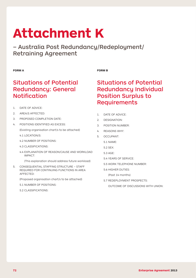# **Attachment K**

– Australia Post Redundancy/Redeployment/ Retraining Agreement

# **Form A**

# **Form B**

# Situations of Potential Redundancy: General Notification

- 1 DATE OF ADVICE:
- 2. AREA/S AFFECTED:
- 3. PROPOSED COMPLETION DATE:
- 4. POSITIONS IDENTIFIED AS EXCESS: (Existing organisation chart/s to be attached)
	- 4.1 LOCATION/S:
	- 4.2 NUMBER OF POSITIONS:
	- 4.3 CLASSIFICATIONS:
	- 4.4 EXPLANATION OF REASON/CAUSE AND WORKLOAD IMPACT:
		- (This explanation should address future workload)
- 5. CONSEQUENTIAL STAFFING STRUCTURE STAFF REQUIRED FOR CONTINUING FUNCTIONS IN AREA AFFECTED:

 (Proposed organisation chart/s to be attached)

- 5.1 NUMBER OF POSITIONS:
- 5.2 CLASSIFICATIONS:

# Situations of Potential Redundancy Individual Position Surplus to **Requirements**

- 1. DATE OF ADVICE:
- 2. DESIGNATION:
- 3 POSITION NUMBER:
- 4. REASONS WHY:
- 5. OCCUPANT:
	- 5.1 NAME:
	- 5.2 SEX:
	- 5.3 AGE:
	- 5.4 YEARS OF SERVICE:
	- 5.5 WORK TELEPHONE NUMBER:
	- 5.6 HIGHER DUTIES:
		- (Past 14 months)
	- 5.7 REDEPLOYMENT PROSPECTS:
		- OUTCOME OF DISCUSSIONS WITH UNION: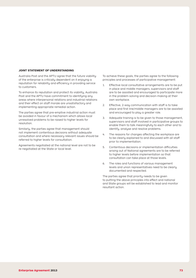## **Joint Statement of Understanding**

Australia Post and the APTU agree that the future viability of the enterprise is critically dependent on it enjoying a reputation for reliability and efficiency in providing service to customers.

To enhance its reputation and protect its viability, Australia Post and the APTU have commitment to identifying any areas where interpersonal relations and industrial relations and their effect on staff morale are unsatisfactory and implementing appropriate remedial action.

The parties agree that pre-emptive industrial action must be avoided in favour of a mechanism which allows local unresolved problems to be raised to higher levels for resolution.

Similarly, the parties agree that management should not implement contentious decisions without adequate consultation and where necessary relevant issues should be referred to higher levels for consultation.

Agreements negotiated at the national level are not to be re-negotiated at the State or local level.

To achieve these goals, the parties agree to the following principles and processes of participative management:

- 1. Effective local consultative arrangements are to be put in place and middle managers, supervisors and staff are to be assisted and encouraged to participate more in the problem-solving and decision-making at their own workplace.
- 2. Effective, 2-way communication with staff is to take place and first line/middle managers are to be assisted and encouraged to play a greater role.
- 3. Adequate training is to be given to those management. supervisors and staff involved in participative groups to enable them to talk meaningfully to each other and to identify, analyse and resolve problems.
- 4. The reasons for changes affecting the workplace are to be clearly explained to and discussed with all staff prior to implementation.
- 5. Contentious decisions or implementation difficulties arising out of National agreements are to be referred to higher levels before implementation so that consultation can take place at those levels.
- 6. The roles and functions of various management levels and union representatives need to be clearly documented and respected.

The parties agree that priority needs to be given to putting the above principles into effect and national and State groups will be established to lead and monitor resultant action.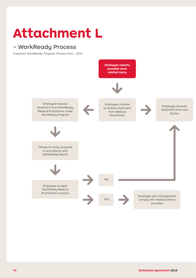## **Attachment L**

## – WorkReady Process

Proposed 'WorkReady' Program Process Flow - 2013